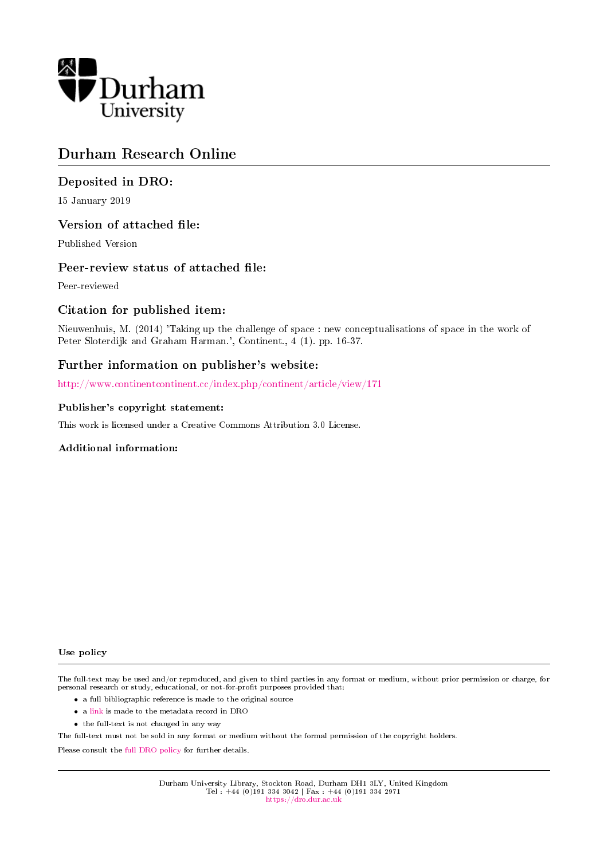

# Durham Research Online

# Deposited in DRO:

15 January 2019

# Version of attached file:

Published Version

# Peer-review status of attached file:

Peer-reviewed

# Citation for published item:

Nieuwenhuis, M. (2014) 'Taking up the challenge of space : new conceptualisations of space in the work of Peter Sloterdijk and Graham Harman.', Continent., 4 (1). pp. 16-37.

# Further information on publisher's website:

<http://www.continentcontinent.cc/index.php/continent/article/view/171>

#### Publisher's copyright statement:

This work is licensed under a Creative Commons Attribution 3.0 License.

#### Additional information:

#### Use policy

The full-text may be used and/or reproduced, and given to third parties in any format or medium, without prior permission or charge, for personal research or study, educational, or not-for-profit purposes provided that:

- a full bibliographic reference is made to the original source
- a [link](http://dro.dur.ac.uk/27197/) is made to the metadata record in DRO
- the full-text is not changed in any way

The full-text must not be sold in any format or medium without the formal permission of the copyright holders.

Please consult the [full DRO policy](https://dro.dur.ac.uk/policies/usepolicy.pdf) for further details.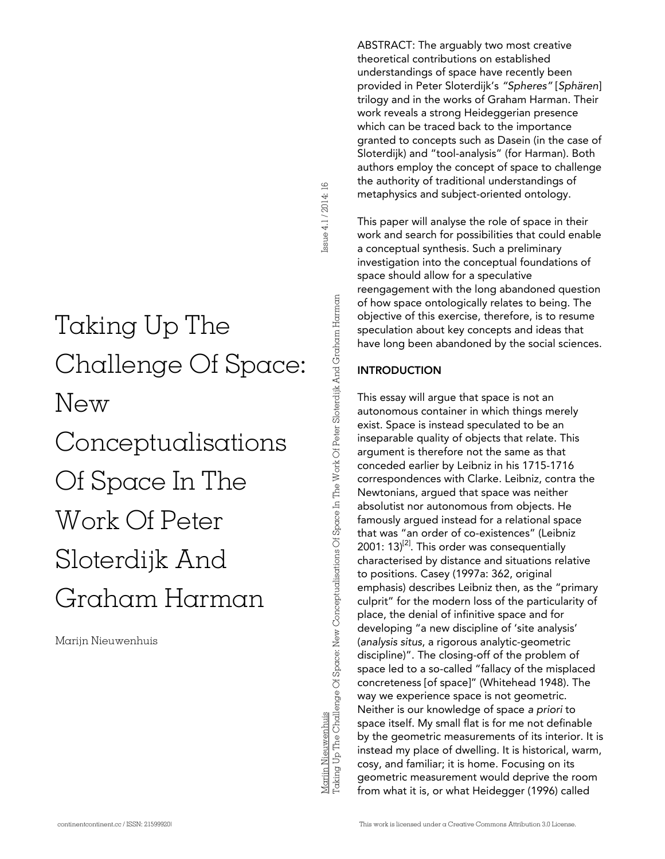# Taking Up The Challenge Of Space: New Conceptualisations Of Space In The Work Of Peter Sloterdijk And Graham Harman

Marijn Nieuwenhuis

ABSTRACT: The arguably two most creative theoretical contributions on established understandings of space have recently been provided in Peter Sloterdijk's *"Spheres"* [*Sphären*] trilogy and in the works of Graham Harman. Their work reveals a strong Heideggerian presence which can be traced back to the importance granted to concepts such as Dasein (in the case of Sloterdijk) and "tool-analysis" (for Harman). Both authors employ the concept of space to challenge the authority of traditional understandings of metaphysics and subject-oriented ontology.

This paper will analyse the role of space in their work and search for possibilities that could enable a conceptual synthesis. Such a preliminary investigation into the conceptual foundations of space should allow for a speculative reengagement with the long abandoned question of how space ontologically relates to being. The objective of this exercise, therefore, is to resume speculation about key concepts and ideas that have long been abandoned by the social sciences.

# **INTRODUCTION**

This essay will argue that space is not an autonomous container in which things merely exist. Space is instead speculated to be an inseparable quality of objects that relate. This argument is therefore not the same as that conceded earlier by Leibniz in his 1715-1716 correspondences with Clarke. Leibniz, contra the Newtonians, argued that space was neither absolutist nor autonomous from objects. He famously argued instead for a relational space that was "an order of co-existences" (Leibniz 2001:  $13$ <sup>[2]</sup>. This order was consequentially characterised by distance and situations relative to positions. Casey (1997a: 362, original emphasis) describes Leibniz then, as the "primary culprit" for the modern loss of the particularity of place, the denial of infinitive space and for developing "a new discipline of 'site analysis' (*analysis situs*, a rigorous analytic-geometric discipline)". The closing-off of the problem of space led to a so-called "fallacy of the misplaced concreteness [of space]" (Whitehead 1948). The way we experience space is not geometric. Neither is our knowledge of space *a priori* to space itself. My small flat is for me not definable by the geometric measurements of its interior. It is instead my place of dwelling. It is historical, warm, cosy, and familiar; it is home. Focusing on its geometric measurement would deprive the room from what it is, or what Heidegger (1996) called  $\begin{tabular}{c|c|c|c} \hline \hline \hline 1 & \hline 2 & \hline 3 & \hline 4 & \hline 5 & \hline 6 & \hline 7 & \hline 8 & \hline 8 & \hline 9 & \hline 9 & \hline 9 & \hline 9 & \hline 9 & \hline 9 & \hline 9 & \hline 9 & \hline 9 & \hline 9 & \hline 9 & \hline 9 & \hline 9 & \hline 9 & \hline 9 & \hline 9 & \hline 9 & \hline 9 & \hline 9 & \hline 9 & \hline 9 & \hline 9 & \hline 9 & \hline 9 & \h$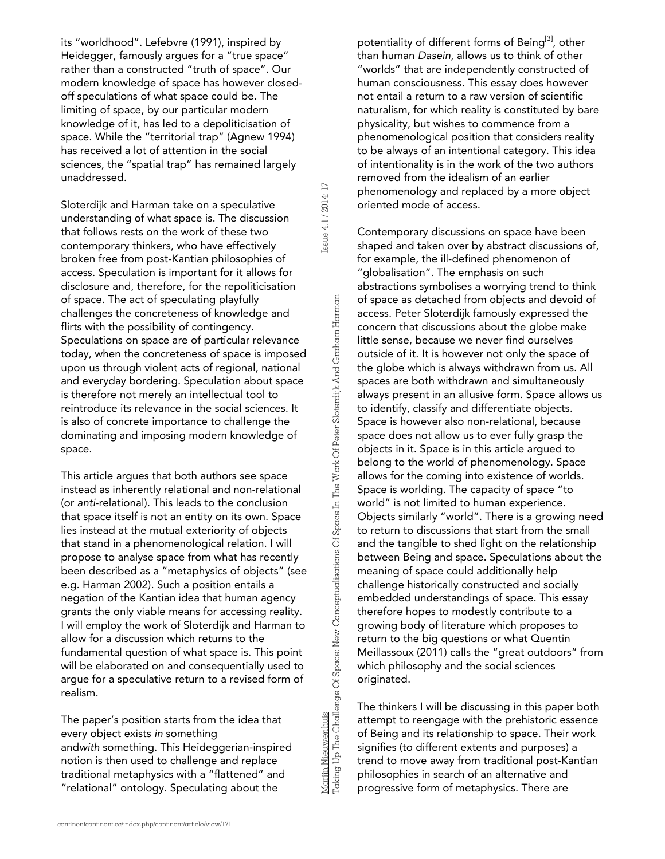its "worldhood". Lefebvre (1991), inspired by Heidegger, famously argues for a "true space" rather than a constructed "truth of space". Our modern knowledge of space has however closedoff speculations of what space could be. The limiting of space, by our particular modern knowledge of it, has led to a depoliticisation of space. While the "territorial trap" (Agnew 1994) has received a lot of attention in the social sciences, the "spatial trap" has remained largely unaddressed.

Sloterdijk and Harman take on a speculative understanding of what space is. The discussion that follows rests on the work of these two contemporary thinkers, who have effectively broken free from post-Kantian philosophies of access. Speculation is important for it allows for disclosure and, therefore, for the repoliticisation of space. The act of speculating playfully challenges the concreteness of knowledge and flirts with the possibility of contingency. Speculations on space are of particular relevance today, when the concreteness of space is imposed upon us through violent acts of regional, national and everyday bordering. Speculation about space is therefore not merely an intellectual tool to reintroduce its relevance in the social sciences. It is also of concrete importance to challenge the dominating and imposing modern knowledge of space.

This article argues that both authors see space instead as inherently relational and non-relational (or *anti*-relational). This leads to the conclusion that space itself is not an entity on its own. Space lies instead at the mutual exteriority of objects that stand in a phenomenological relation. I will propose to analyse space from what has recently been described as a "metaphysics of objects" (see e.g. Harman 2002). Such a position entails a negation of the Kantian idea that human agency grants the only viable means for accessing reality. I will employ the work of Sloterdijk and Harman to allow for a discussion which returns to the fundamental question of what space is. This point will be elaborated on and consequentially used to argue for a speculative return to a revised form of realism.

The paper's position starts from the idea that every object exists *in* something and*with* something. This Heideggerian-inspired notion is then used to challenge and replace traditional metaphysics with a "flattened" and "relational" ontology. Speculating about the

potentiality of different forms of Being<sup>[3]</sup>, other than human *Dasein*, allows us to think of other "worlds" that are independently constructed of human consciousness. This essay does however not entail a return to a raw version of scientific naturalism, for which reality is constituted by bare physicality, but wishes to commence from a phenomenological position that considers reality to be always of an intentional category. This idea of intentionality is in the work of the two authors removed from the idealism of an earlier phenomenology and replaced by a more object oriented mode of access.

Contemporary discussions on space have been shaped and taken over by abstract discussions of, for example, the ill-defined phenomenon of "globalisation". The emphasis on such abstractions symbolises a worrying trend to think of space as detached from objects and devoid of access. Peter Sloterdijk famously expressed the concern that discussions about the globe make little sense, because we never find ourselves outside of it. It is however not only the space of the globe which is always withdrawn from us. All spaces are both withdrawn and simultaneously always present in an allusive form. Space allows us to identify, classify and differentiate objects. Space is however also non-relational, because space does not allow us to ever fully grasp the objects in it. Space is in this article argued to belong to the world of phenomenology. Space allows for the coming into existence of worlds. Space is worlding. The capacity of space "to world" is not limited to human experience. Objects similarly "world". There is a growing need to return to discussions that start from the small and the tangible to shed light on the relationship between Being and space. Speculations about the meaning of space could additionally help challenge historically constructed and socially embedded understandings of space. This essay therefore hopes to modestly contribute to a growing body of literature which proposes to return to the big questions or what Quentin Meillassoux (2011) calls the "great outdoors" from which philosophy and the social sciences originated.

The thinkers I will be discussing in this paper both attempt to reengage with the prehistoric essence of Being and its relationship to space. Their work signifies (to different extents and purposes) a trend to move away from traditional post-Kantian philosophies in search of an alternative and progressive form of metaphysics. There are

Taking Up The Challenge Of Space: New Conceptualisations Of Space In The Work Of Peter Sloterdijk And Graham Harman

Issue 4.1 / 2014: 17

Issue 4.1/2014: 17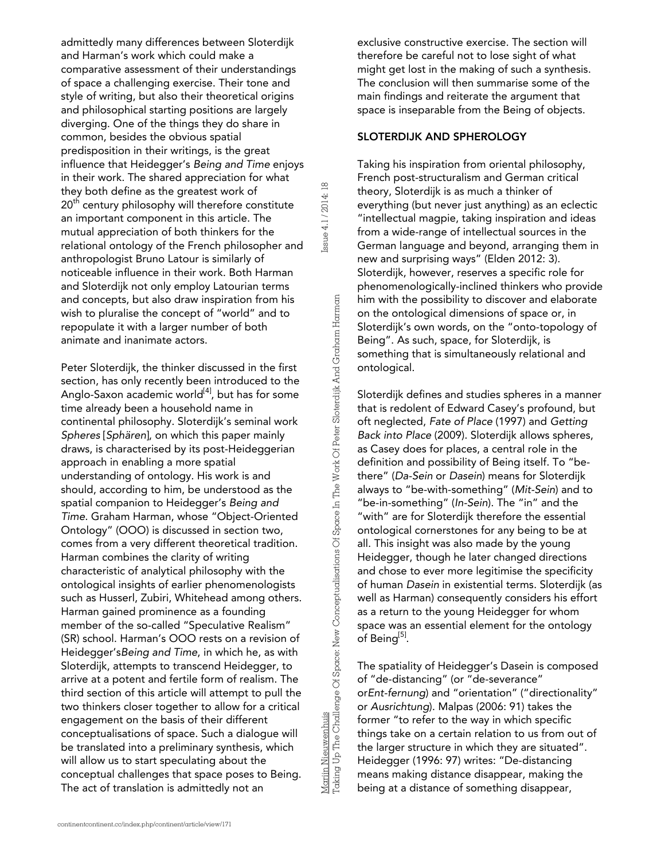admittedly many differences between Sloterdijk and Harman's work which could make a comparative assessment of their understandings of space a challenging exercise. Their tone and style of writing, but also their theoretical origins and philosophical starting positions are largely diverging. One of the things they do share in common, besides the obvious spatial predisposition in their writings, is the great influence that Heidegger's *Being and Time* enjoys in their work. The shared appreciation for what they both define as the greatest work of  $20<sup>th</sup>$  century philosophy will therefore constitute an important component in this article. The mutual appreciation of both thinkers for the relational ontology of the French philosopher and anthropologist Bruno Latour is similarly of noticeable influence in their work. Both Harman and Sloterdijk not only employ Latourian terms and concepts, but also draw inspiration from his wish to pluralise the concept of "world" and to repopulate it with a larger number of both animate and inanimate actors.

Peter Sloterdijk, the thinker discussed in the first section, has only recently been introduced to the Anglo-Saxon academic world $[4]$ , but has for some time already been a household name in continental philosophy. Sloterdijk's seminal work *Spheres* [*Sphären*], on which this paper mainly draws, is characterised by its post-Heideggerian approach in enabling a more spatial understanding of ontology. His work is and should, according to him, be understood as the spatial companion to Heidegger's *Being and Time*. Graham Harman, whose "Object-Oriented Ontology" (OOO) is discussed in section two, comes from a very different theoretical tradition. Harman combines the clarity of writing characteristic of analytical philosophy with the ontological insights of earlier phenomenologists such as Husserl, Zubiri, Whitehead among others. Harman gained prominence as a founding member of the so-called "Speculative Realism" (SR) school. Harman's OOO rests on a revision of Heidegger's*Being and Time*, in which he, as with Sloterdijk, attempts to transcend Heidegger, to arrive at a potent and fertile form of realism. The third section of this article will attempt to pull the two thinkers closer together to allow for a critical engagement on the basis of their different conceptualisations of space. Such a dialogue will be translated into a preliminary synthesis, which will allow us to start speculating about the conceptual challenges that space poses to Being. The act of translation is admittedly not an

Mariin Nieuwenhuis<br>Taking Up The Challenge Of Space: New Conceptualisations Of Space In The Work Of Peter Sloterdijk And Graham Harman Taking Up The Challenge Of Space: New Conceptualisations Of Space In The Work Of Peter Sloterdijk And Graham HarmanMarijn Nieuwenhuis

Issue 4.1 / 2014: 18

ssue 4.1 / 2014: 18

exclusive constructive exercise. The section will therefore be careful not to lose sight of what might get lost in the making of such a synthesis. The conclusion will then summarise some of the main findings and reiterate the argument that space is inseparable from the Being of objects.

#### SLOTERDIJK AND SPHEROLOGY

Taking his inspiration from oriental philosophy, French post-structuralism and German critical theory, Sloterdijk is as much a thinker of everything (but never just anything) as an eclectic "intellectual magpie, taking inspiration and ideas from a wide-range of intellectual sources in the German language and beyond, arranging them in new and surprising ways" (Elden 2012: 3). Sloterdijk, however, reserves a specific role for phenomenologically-inclined thinkers who provide him with the possibility to discover and elaborate on the ontological dimensions of space or, in Sloterdijk's own words, on the "onto-topology of Being". As such, space, for Sloterdijk, is something that is simultaneously relational and ontological.

Sloterdijk defines and studies spheres in a manner that is redolent of Edward Casey's profound, but oft neglected, *Fate of Place* (1997) and *Getting Back into Place* (2009). Sloterdijk allows spheres, as Casey does for places, a central role in the definition and possibility of Being itself. To "bethere" (*Da-Sein* or *Dasein*) means for Sloterdijk always to "be-with-something" (*Mit-Sein*) and to "be-in-something" (*In-Sein*). The "in" and the "with" are for Sloterdijk therefore the essential ontological cornerstones for any being to be at all. This insight was also made by the young Heidegger, though he later changed directions and chose to ever more legitimise the specificity of human *Dasein* in existential terms. Sloterdijk (as well as Harman) consequently considers his effort as a return to the young Heidegger for whom space was an essential element for the ontology of Being<sup>[5]</sup>.

The spatiality of Heidegger's Dasein is composed of "de-distancing" (or "de-severance" or*Ent-fernung*) and "orientation" ("directionality" or *Ausrichtung*). Malpas (2006: 91) takes the former "to refer to the way in which specific things take on a certain relation to us from out of the larger structure in which they are situated". Heidegger (1996: 97) writes: "De-distancing means making distance disappear, making the being at a distance of something disappear,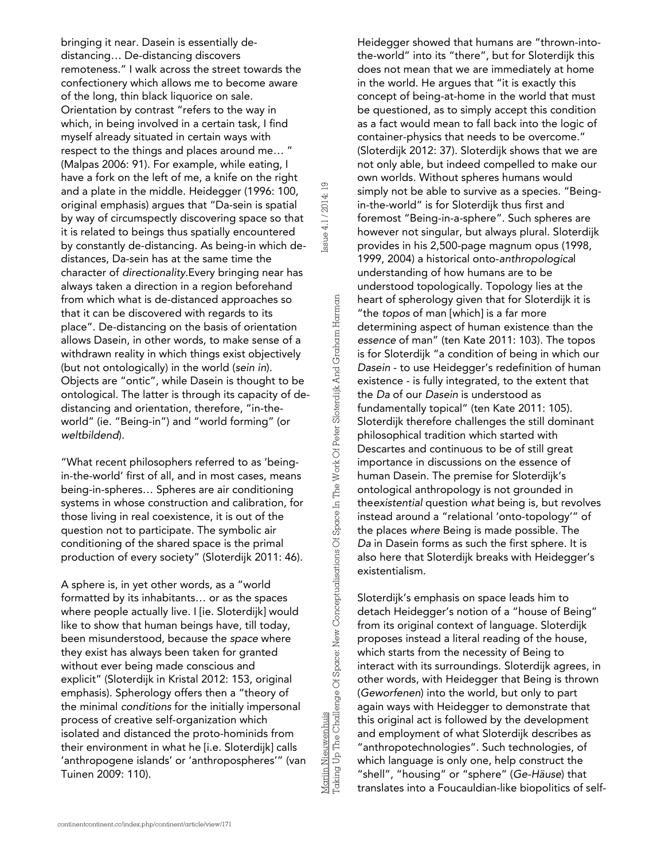bringing it near. Dasein is essentially dedistancing… De-distancing discovers remoteness." I walk across the street towards the confectionery which allows me to become aware of the long, thin black liquorice on sale. Orientation by contrast "refers to the way in which, in being involved in a certain task, I find myself already situated in certain ways with respect to the things and places around me… " (Malpas 2006: 91). For example, while eating, I have a fork on the left of me, a knife on the right and a plate in the middle. Heidegger (1996: 100, original emphasis) argues that "Da-sein is spatial by way of circumspectly discovering space so that it is related to beings thus spatially encountered by constantly de-distancing. As being-in which dedistances, Da-sein has at the same time the character of *directionality.*Every bringing near has always taken a direction in a region beforehand from which what is de-distanced approaches so that it can be discovered with regards to its place". De-distancing on the basis of orientation allows Dasein, in other words, to make sense of a withdrawn reality in which things exist objectively (but not ontologically) in the world (*sein in*). Objects are "ontic", while Dasein is thought to be ontological. The latter is through its capacity of dedistancing and orientation, therefore, "in-theworld" (ie. "Being-in") and "world forming" (or *weltbildend*). and a plate in the middle. Heidegger (1996: 100, erasial original emphasia) argues that "To selected to being stuarily encountered by constantly de-distancing. As being-in which defistances, Da-sein has at the Space in the

"What recent philosophers referred to as 'beingin-the-world' first of all, and in most cases, means being-in-spheres… Spheres are air conditioning systems in whose construction and calibration, for those living in real coexistence, it is out of the question not to participate. The symbolic air conditioning of the shared space is the primal production of every society" (Sloterdijk 2011: 46).

A sphere is, in yet other words, as a "world formatted by its inhabitants… or as the spaces where people actually live. I [ie. Sloterdijk] would like to show that human beings have, till today, been misunderstood, because the *space* where they exist has always been taken for granted without ever being made conscious and explicit" (Sloterdijk in Kristal 2012: 153, original emphasis). Spherology offers then a "theory of the minimal *conditions* for the initially impersonal process of creative self-organization which isolated and distanced the proto-hominids from their environment in what he [i.e. Sloterdijk] calls 'anthropogene islands' or 'anthropospheres'" (van Tuinen 2009: 110).

Heidegger showed that humans are "thrown-intothe-world" into its "there", but for Sloterdijk this does not mean that we are immediately at home in the world. He argues that "it is exactly this concept of being-at-home in the world that must be questioned, as to simply accept this condition as a fact would mean to fall back into the logic of container-physics that needs to be overcome." (Sloterdijk 2012: 37). Sloterdijk shows that we are not only able, but indeed compelled to make our own worlds. Without spheres humans would simply not be able to survive as a species. "Beingin-the-world" is for Sloterdijk thus first and foremost "Being-in-a-sphere". Such spheres are however not singular, but always plural. Sloterdijk provides in his 2,500-page magnum opus (1998, 1999, 2004) a historical onto-*anthropologica*l understanding of how humans are to be understood topologically. Topology lies at the heart of spherology given that for Sloterdijk it is "the *topos* of man [which] is a far more determining aspect of human existence than the *essence* of man" (ten Kate 2011: 103). The topos is for Sloterdijk "a condition of being in which our *Dasein* - to use Heidegger's redefinition of human existence - is fully integrated, to the extent that the *Da* of our *Dasein* is understood as fundamentally topical" (ten Kate 2011: 105). Sloterdijk therefore challenges the still dominant philosophical tradition which started with Descartes and continuous to be of still great importance in discussions on the essence of human Dasein. The premise for Sloterdijk's ontological anthropology is not grounded in the*existential* question *what* being is, but revolves instead around a "relational 'onto-topology'" of the places *where* Being is made possible. The *Da* in Dasein forms as such the first sphere. It is also here that Sloterdijk breaks with Heidegger's existentialism.

Sloterdijk's emphasis on space leads him to detach Heidegger's notion of a "house of Being" from its original context of language. Sloterdijk proposes instead a literal reading of the house, which starts from the necessity of Being to interact with its surroundings. Sloterdijk agrees, in other words, with Heidegger that Being is thrown (*Geworfenen*) into the world, but only to part again ways with Heidegger to demonstrate that this original act is followed by the development and employment of what Sloterdijk describes as "anthropotechnologies". Such technologies, of which language is only one, help construct the "shell", "housing" or "sphere" (*Ge-Häuse*) that translates into a Foucauldian-like biopolitics of self-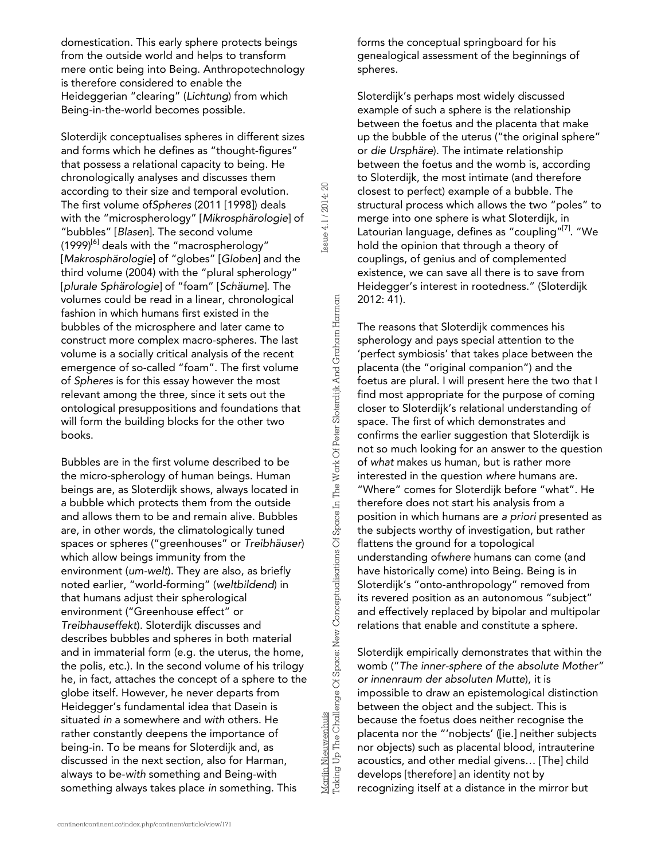domestication. This early sphere protects beings from the outside world and helps to transform mere ontic being into Being. Anthropotechnology is therefore considered to enable the Heideggerian "clearing" (*Lichtung*) from which Being-in-the-world becomes possible.

Sloterdijk conceptualises spheres in different sizes and forms which he defines as "thought-figures" that possess a relational capacity to being. He chronologically analyses and discusses them according to their size and temporal evolution. The first volume of*Spheres* (2011 [1998]) deals with the "microspherology" [*Mikrosphärologie*] of "bubbles" [*Blasen*]. The second volume  $(1999)^{[6]}$  deals with the "macrospherology" [*Makrosphärologie*] of "globes" [*Globen*] and the third volume (2004) with the "plural spherology" [*plurale Sphärologie*] of "foam" [*Schäume*]. The volumes could be read in a linear, chronological fashion in which humans first existed in the bubbles of the microsphere and later came to construct more complex macro-spheres. The last volume is a socially critical analysis of the recent emergence of so-called "foam". The first volume of *Spheres* is for this essay however the most relevant among the three, since it sets out the ontological presuppositions and foundations that will form the building blocks for the other two books.

Bubbles are in the first volume described to be the micro-spherology of human beings. Human beings are, as Sloterdijk shows, always located in a bubble which protects them from the outside and allows them to be and remain alive. Bubbles are, in other words, the climatologically tuned spaces or spheres ("greenhouses" or *Treibhäuser*) which allow beings immunity from the environment (*um-welt*). They are also, as briefly noted earlier, "world-forming" (*weltbildend*) in that humans adjust their spherological environment ("Greenhouse effect" or *Treibhauseffekt*). Sloterdijk discusses and describes bubbles and spheres in both material and in immaterial form (e.g. the uterus, the home, the polis, etc.). In the second volume of his trilogy he, in fact, attaches the concept of a sphere to the globe itself. However, he never departs from Heidegger's fundamental idea that Dasein is situated *in* a somewhere and *with* others. He rather constantly deepens the importance of being-in. To be means for Sloterdijk and, as discussed in the next section, also for Harman, always to be-*with* something and Being-with something always takes place *in* something. This

forms the conceptual springboard for his genealogical assessment of the beginnings of spheres.

Sloterdijk's perhaps most widely discussed example of such a sphere is the relationship between the foetus and the placenta that make up the bubble of the uterus ("the original sphere" or *die Ursphäre*). The intimate relationship between the foetus and the womb is, according to Sloterdijk, the most intimate (and therefore closest to perfect) example of a bubble. The structural process which allows the two "poles" to merge into one sphere is what Sloterdijk, in Latourian language, defines as "coupling"<sup>[7]</sup>. "We hold the opinion that through a theory of couplings, of genius and of complemented existence, we can save all there is to save from Heidegger's interest in rootedness." (Sloterdijk 2012: 41).

Issue 4.1 / 2014: 20

Issue 4.1 / 2014: 20

Marijn Nieuwenhuis

Taking Up The Challenge Of Space: New Conceptualisations Of Space In The Work Of Peter Sloterdijk And Graham Harman

Mariin Nieuwenhuis<br>Taking Up The Challenge Of Space: New Conceptualisations Of Space In The Work Of Peter Sloterdijk And Graham Harman

The reasons that Sloterdijk commences his spherology and pays special attention to the 'perfect symbiosis' that takes place between the placenta (the "original companion") and the foetus are plural. I will present here the two that I find most appropriate for the purpose of coming closer to Sloterdijk's relational understanding of space. The first of which demonstrates and confirms the earlier suggestion that Sloterdijk is not so much looking for an answer to the question of *what* makes us human, but is rather more interested in the question *where* humans are. "Where" comes for Sloterdijk before "what". He therefore does not start his analysis from a position in which humans are *a priori* presented as the subjects worthy of investigation, but rather flattens the ground for a topological understanding of*where* humans can come (and have historically come) into Being. Being is in Sloterdijk's "onto-anthropology" removed from its revered position as an autonomous "subject" and effectively replaced by bipolar and multipolar relations that enable and constitute a sphere.

Sloterdijk empirically demonstrates that within the womb ("*The inner-sphere of the absolute Mother" or innenraum der absoluten Mutte*)*,* it is impossible to draw an epistemological distinction between the object and the subject. This is because the foetus does neither recognise the placenta nor the "'nobjects' ([ie.] neither subjects nor objects) such as placental blood, intrauterine acoustics, and other medial givens… [The] child develops [therefore] an identity not by recognizing itself at a distance in the mirror but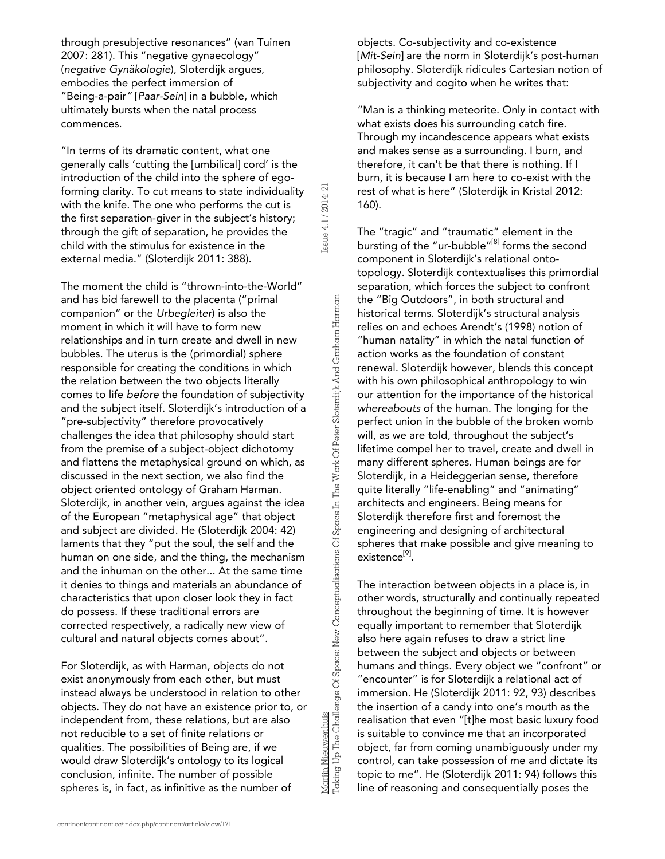through presubjective resonances" (van Tuinen 2007: 281). This "negative gynaecology" (*negative Gynäkologie*), Sloterdijk argues, embodies the perfect immersion of "Being-a-pair*"* [*Paar-Sein*] in a bubble, which ultimately bursts when the natal process commences.

"In terms of its dramatic content, what one generally calls 'cutting the [umbilical] cord' is the introduction of the child into the sphere of egoforming clarity. To cut means to state individuality with the knife. The one who performs the cut is the first separation-giver in the subject's history; through the gift of separation, he provides the child with the stimulus for existence in the external media." (Sloterdijk 2011: 388).

The moment the child is "thrown-into-the-World" and has bid farewell to the placenta ("primal companion" or the *Urbegleiter*) is also the moment in which it will have to form new relationships and in turn create and dwell in new bubbles. The uterus is the (primordial) sphere responsible for creating the conditions in which the relation between the two objects literally comes to life *before* the foundation of subjectivity and the subject itself. Sloterdijk's introduction of a "pre-subjectivity" therefore provocatively challenges the idea that philosophy should start from the premise of a subject-object dichotomy and flattens the metaphysical ground on which, as discussed in the next section, we also find the object oriented ontology of Graham Harman. Sloterdijk, in another vein, argues against the idea of the European "metaphysical age" that object and subject are divided. He (Sloterdijk 2004: 42) laments that they "put the soul, the self and the human on one side, and the thing, the mechanism and the inhuman on the other... At the same time it denies to things and materials an abundance of characteristics that upon closer look they in fact do possess. If these traditional errors are corrected respectively, a radically new view of cultural and natural objects comes about".

For Sloterdijk, as with Harman, objects do not exist anonymously from each other, but must instead always be understood in relation to other objects. They do not have an existence prior to, or independent from, these relations, but are also not reducible to a set of finite relations or qualities. The possibilities of Being are, if we would draw Sloterdijk's ontology to its logical conclusion, infinite. The number of possible spheres is, in fact, as infinitive as the number of

Mariin Nieuwenhuis<br>Taking Up The Challenge Of Space: New Conceptualisations Of Space In The Work Of Peter Sloterdijk And Graham Harman Taking Up The Challenge Of Space: New Conceptualisations Of Space In The Work Of Peter Sloterdijk And Graham Harman

Marijn Nieuwenhuis

Issue 4.1 / 2014: 21

Issue 4.1 / 2014: 21

objects. Co-subjectivity and co-existence [Mit-Sein] are the norm in Sloterdijk's post-human philosophy. Sloterdijk ridicules Cartesian notion of subjectivity and cogito when he writes that:

"Man is a thinking meteorite. Only in contact with what exists does his surrounding catch fire. Through my incandescence appears what exists and makes sense as a surrounding. I burn, and therefore, it can't be that there is nothing. If I burn, it is because I am here to co-exist with the rest of what is here" (Sloterdijk in Kristal 2012: 160).

The "tragic" and "traumatic" element in the bursting of the "ur-bubble"<sup>[8]</sup> forms the second component in Sloterdijk's relational ontotopology. Sloterdijk contextualises this primordial separation, which forces the subject to confront the "Big Outdoors", in both structural and historical terms. Sloterdijk's structural analysis relies on and echoes Arendt's (1998) notion of "human natality" in which the natal function of action works as the foundation of constant renewal. Sloterdijk however, blends this concept with his own philosophical anthropology to win our attention for the importance of the historical *whereabouts* of the human. The longing for the perfect union in the bubble of the broken womb will, as we are told, throughout the subject's lifetime compel her to travel, create and dwell in many different spheres. Human beings are for Sloterdijk, in a Heideggerian sense, therefore quite literally "life-enabling" and "animating" architects and engineers. Being means for Sloterdijk therefore first and foremost the engineering and designing of architectural spheres that make possible and give meaning to existence<sup>[9]</sup>.

The interaction between objects in a place is, in other words, structurally and continually repeated throughout the beginning of time. It is however equally important to remember that Sloterdijk also here again refuses to draw a strict line between the subject and objects or between humans and things. Every object we "confront" or "encounter" is for Sloterdijk a relational act of immersion. He (Sloterdijk 2011: 92, 93) describes the insertion of a candy into one's mouth as the realisation that even "[t]he most basic luxury food is suitable to convince me that an incorporated object, far from coming unambiguously under my control, can take possession of me and dictate its topic to me". He (Sloterdijk 2011: 94) follows this line of reasoning and consequentially poses the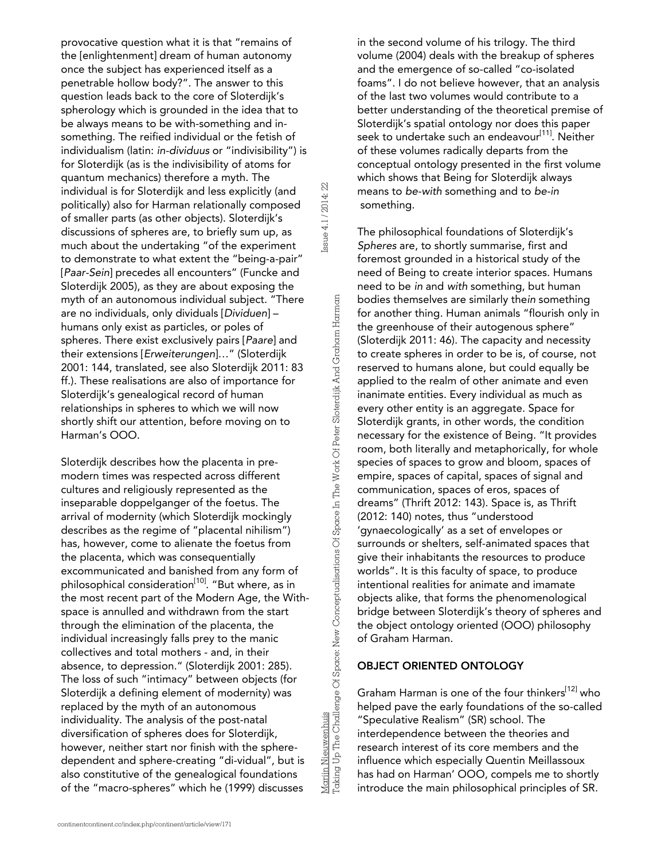provocative question what it is that "remains of the [enlightenment] dream of human autonomy once the subject has experienced itself as a penetrable hollow body?". The answer to this question leads back to the core of Sloterdijk's spherology which is grounded in the idea that to be always means to be with-something and insomething. The reified individual or the fetish of individualism (latin: *in-dividuus* or "indivisibility") is for Sloterdijk (as is the indivisibility of atoms for quantum mechanics) therefore a myth. The individual is for Sloterdijk and less explicitly (and politically) also for Harman relationally composed of smaller parts (as other objects). Sloterdijk's discussions of spheres are, to briefly sum up, as much about the undertaking "of the experiment to demonstrate to what extent the "being-a-pair" [*Paar-Sein*] precedes all encounters" (Funcke and Sloterdijk 2005), as they are about exposing the myth of an autonomous individual subject. "There are no individuals, only dividuals [*Dividuen*] – humans only exist as particles, or poles of spheres. There exist exclusively pairs [*Paare*] and their extensions [*Erweiterungen*]…" (Sloterdijk 2001: 144, translated, see also Sloterdijk 2011: 83 ff.). These realisations are also of importance for Sloterdijk's genealogical record of human relationships in spheres to which we will now shortly shift our attention, before moving on to Harman's OOO.

Issue 4.1 / 2014: 22

Issue 4.1 / 2014: 22

Marijn Nieuwenhuis

Taking Up The Challenge Of Space: New Conceptualisations Of Space In The Work Of Peter Sloterdijk And Graham Harman

Marijn Nieuwenhuis<br>Taking Up The Challenge Of Space: New Conceptualisations Of Space In The Work Of Peter Sloterdijk And Graham Harman

Sloterdijk describes how the placenta in premodern times was respected across different cultures and religiously represented as the inseparable doppelganger of the foetus. The arrival of modernity (which Sloterdijk mockingly describes as the regime of "placental nihilism") has, however, come to alienate the foetus from the placenta, which was consequentially excommunicated and banished from any form of philosophical consideration<sup>[10]</sup>. "But where, as in the most recent part of the Modern Age, the Withspace is annulled and withdrawn from the start through the elimination of the placenta, the individual increasingly falls prey to the manic collectives and total mothers - and, in their absence, to depression." (Sloterdijk 2001: 285). The loss of such "intimacy" between objects (for Sloterdijk a defining element of modernity) was replaced by the myth of an autonomous individuality. The analysis of the post-natal diversification of spheres does for Sloterdijk, however, neither start nor finish with the spheredependent and sphere-creating "di-vidual", but is also constitutive of the genealogical foundations of the "macro-spheres" which he (1999) discusses

in the second volume of his trilogy. The third volume (2004) deals with the breakup of spheres and the emergence of so-called "co-isolated foams". I do not believe however, that an analysis of the last two volumes would contribute to a better understanding of the theoretical premise of Sloterdijk's spatial ontology nor does this paper seek to undertake such an endeavour<sup>[11]</sup>. Neither of these volumes radically departs from the conceptual ontology presented in the first volume which shows that Being for Sloterdijk always means to *be-with* something and to *be-in* something.

The philosophical foundations of Sloterdijk's *Spheres* are, to shortly summarise, first and foremost grounded in a historical study of the need of Being to create interior spaces. Humans need to be *in* and *with* something, but human bodies themselves are similarly the*in* something for another thing. Human animals "flourish only in the greenhouse of their autogenous sphere" (Sloterdijk 2011: 46). The capacity and necessity to create spheres in order to be is, of course, not reserved to humans alone, but could equally be applied to the realm of other animate and even inanimate entities. Every individual as much as every other entity is an aggregate. Space for Sloterdijk grants, in other words, the condition necessary for the existence of Being. "It provides room, both literally and metaphorically, for whole species of spaces to grow and bloom, spaces of empire, spaces of capital, spaces of signal and communication, spaces of eros, spaces of dreams" (Thrift 2012: 143). Space is, as Thrift (2012: 140) notes, thus "understood 'gynaecologically' as a set of envelopes or surrounds or shelters, self-animated spaces that give their inhabitants the resources to produce worlds". It is this faculty of space, to produce intentional realities for animate and imamate objects alike, that forms the phenomenological bridge between Sloterdijk's theory of spheres and the object ontology oriented (OOO) philosophy of Graham Harman.

# OBJECT ORIENTED ONTOLOGY

Graham Harman is one of the four thinkers<sup>[12]</sup> who helped pave the early foundations of the so-called "Speculative Realism" (SR) school. The interdependence between the theories and research interest of its core members and the influence which especially Quentin Meillassoux has had on Harman' OOO, compels me to shortly introduce the main philosophical principles of SR.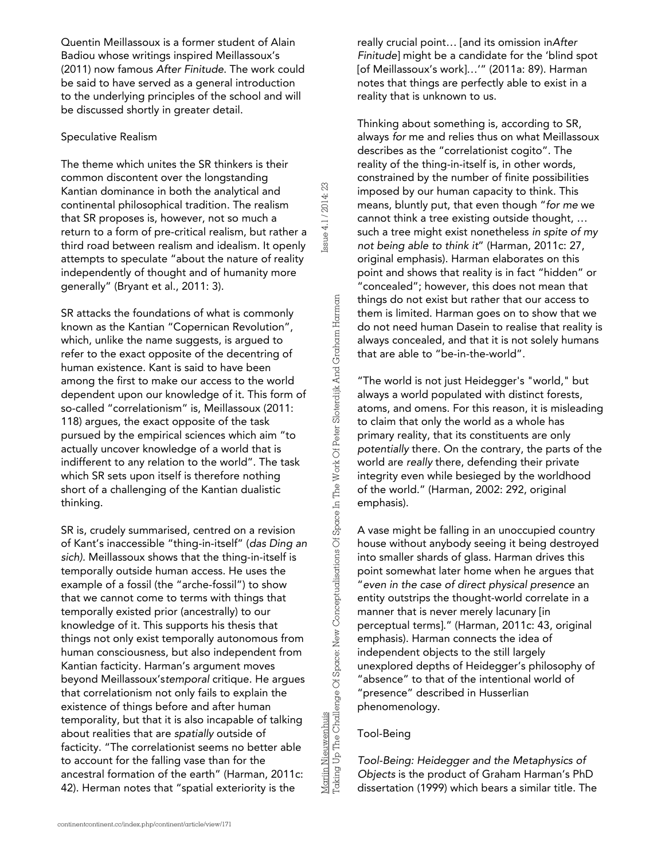Quentin Meillassoux is a former student of Alain Badiou whose writings inspired Meillassoux's (2011) now famous *After Finitude*. The work could be said to have served as a general introduction to the underlying principles of the school and will be discussed shortly in greater detail.

#### *Speculative Realism*

The theme which unites the SR thinkers is their common discontent over the longstanding Kantian dominance in both the analytical and continental philosophical tradition. The realism that SR proposes is, however, not so much a return to a form of pre-critical realism, but rather a third road between realism and idealism. It openly attempts to speculate "about the nature of reality independently of thought and of humanity more generally" (Bryant et al., 2011: 3).

Issue 4.1 / 2014: 23

ssue 4.1 / 2014: 23

SR attacks the foundations of what is commonly known as the Kantian "Copernican Revolution", which, unlike the name suggests, is argued to refer to the exact opposite of the decentring of human existence. Kant is said to have been among the first to make our access to the world dependent upon our knowledge of it. This form of so-called "correlationism" is, Meillassoux (2011: 118) argues, the exact opposite of the task pursued by the empirical sciences which aim "to actually uncover knowledge of a world that is indifferent to any relation to the world". The task which SR sets upon itself is therefore nothing short of a challenging of the Kantian dualistic thinking.

SR is, crudely summarised, centred on a revision of Kant's inaccessible "thing-in-itself" (*das Ding an sich).* Meillassoux shows that the thing-in-itself is temporally outside human access. He uses the example of a fossil (the "arche-fossil") to show that we cannot come to terms with things that temporally existed prior (ancestrally) to our knowledge of it. This supports his thesis that things not only exist temporally autonomous from human consciousness, but also independent from Kantian facticity. Harman's argument moves beyond Meillassoux's*temporal* critique. He argues that correlationism not only fails to explain the existence of things before and after human temporality, but that it is also incapable of talking about realities that are *spatially* outside of facticity. "The correlationist seems no better able to account for the falling vase than for the ancestral formation of the earth" (Harman, 2011c: 42). Herman notes that "spatial exteriority is the

really crucial point… [and its omission in*After Finitude*] might be a candidate for the 'blind spot [of Meillassoux's work]…'" (2011a: 89). Harman notes that things are perfectly able to exist in a reality that is unknown to us.

Thinking about something is, according to SR, always *for* me and relies thus on what Meillassoux describes as the "correlationist cogito". The reality of the thing-in-itself is, in other words, constrained by the number of finite possibilities imposed by our human capacity to think. This means, bluntly put, that even though "*for me* we cannot think a tree existing outside thought, … such a tree might exist nonetheless *in spite of my not being able to think it*" (Harman, 2011c: 27, original emphasis). Harman elaborates on this point and shows that reality is in fact "hidden" or "concealed"; however, this does not mean that things do not exist but rather that our access to them is limited. Harman goes on to show that we do not need human Dasein to realise that reality is always concealed, and that it is not solely humans that are able to "be-in-the-world".

"The world is not just Heidegger's "world," but always a world populated with distinct forests, atoms, and omens. For this reason, it is misleading to claim that only the world as a whole has primary reality, that its constituents are only *potentially* there. On the contrary, the parts of the world are *really* there, defending their private integrity even while besieged by the worldhood of the world." (Harman, 2002: 292, original emphasis).

A vase might be falling in an unoccupied country house without anybody seeing it being destroyed into smaller shards of glass. Harman drives this point somewhat later home when he argues that "*even in the case of direct physical presence* an entity outstrips the thought-world correlate in a manner that is never merely lacunary [in perceptual terms]." (Harman, 2011c: 43, original emphasis). Harman connects the idea of independent objects to the still largely unexplored depths of Heidegger's philosophy of "absence" to that of the intentional world of "presence" described in Husserlian phenomenology.

#### *Tool-Being*

Marijn Nieuwenhuis

Taking Up The Challenge Of Space: New Conceptualisations Of Space In The Work Of Peter Sloterdijk And Graham Harman

Mariin Nieuwenhuis<br>Taking Up The Challenge Of Space: New Conceptualisations Of Space In The Work Of Peter Sloterdijk And Graham Harman

*Tool-Being: Heidegger and the Metaphysics of Objects* is the product of Graham Harman's PhD dissertation (1999) which bears a similar title. The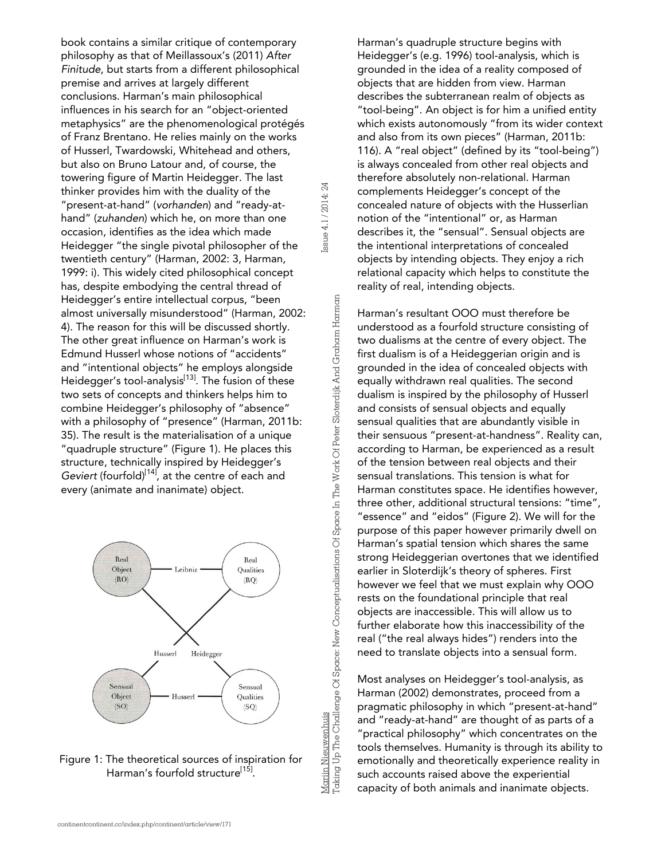book contains a similar critique of contemporary philosophy as that of Meillassoux's (2011) *After Finitude*, but starts from a different philosophical premise and arrives at largely different conclusions. Harman's main philosophical influences in his search for an "object-oriented metaphysics" are the phenomenological protégés of Franz Brentano. He relies mainly on the works of Husserl, Twardowski, Whitehead and others, but also on Bruno Latour and, of course, the towering figure of Martin Heidegger. The last thinker provides him with the duality of the "present-at-hand" (*vorhanden*) and "ready-athand" (*zuhanden*) which he, on more than one occasion, identifies as the idea which made Heidegger "the single pivotal philosopher of the twentieth century" (Harman, 2002: 3, Harman, 1999: i). This widely cited philosophical concept has, despite embodying the central thread of Heidegger's entire intellectual corpus, "been almost universally misunderstood" (Harman, 2002: 4). The reason for this will be discussed shortly. The other great influence on Harman's work is Edmund Husserl whose notions of "accidents" and "intentional objects" he employs alongside Heidegger's tool-analysis<sup>[13]</sup>. The fusion of these two sets of concepts and thinkers helps him to combine Heidegger's philosophy of "absence" with a philosophy of "presence" (Harman, 2011b: 35). The result is the materialisation of a unique "quadruple structure" (Figure 1). He places this structure, technically inspired by Heidegger's Geviert (fourfold)<sup>[14]</sup>, at the centre of each and every (animate and inanimate) object.

Issue 4.1 / 2014: 24

ssue 4.1 / 2014: 24

Marijn Nieuwenhuis

Taking Up The Challenge Of Space: New Conceptualisations Of Space In The Work Of Peter Sloterdijk And Graham Harman

Mariin Nieuwenhuis<br>Taking Up The Challenge Of Space: New Conceptualisations Of Space In The Work Of Peter Sloterdijk And Graham Harman





continentcontinent.cc/index.php/continent/article/view/171

Harman's quadruple structure begins with Heidegger's (e.g. 1996) tool-analysis, which is grounded in the idea of a reality composed of objects that are hidden from view. Harman describes the subterranean realm of objects as "tool-being". An object is for him a unified entity which exists autonomously "from its wider context and also from its own pieces" (Harman, 2011b: 116). A "real object" (defined by its "tool-being") is always concealed from other real objects and therefore absolutely non-relational. Harman complements Heidegger's concept of the concealed nature of objects with the Husserlian notion of the "intentional" or, as Harman describes it, the "sensual". Sensual objects are the intentional interpretations of concealed objects by intending objects. They enjoy a rich relational capacity which helps to constitute the reality of real, intending objects.

Harman's resultant OOO must therefore be understood as a fourfold structure consisting of two dualisms at the centre of every object. The first dualism is of a Heideggerian origin and is grounded in the idea of concealed objects with equally withdrawn real qualities. The second dualism is inspired by the philosophy of Husserl and consists of sensual objects and equally sensual qualities that are abundantly visible in their sensuous "present-at-handness". Reality can, according to Harman, be experienced as a result of the tension between real objects and their sensual translations. This tension is what for Harman constitutes space. He identifies however, three other, additional structural tensions: "time", "essence" and "eidos" (Figure 2). We will for the purpose of this paper however primarily dwell on Harman's spatial tension which shares the same strong Heideggerian overtones that we identified earlier in Sloterdijk's theory of spheres. First however we feel that we must explain why OOO rests on the foundational principle that real objects are inaccessible. This will allow us to further elaborate how this inaccessibility of the real ("the real always hides") renders into the need to translate objects into a sensual form.

Most analyses on Heidegger's tool-analysis, as Harman (2002) demonstrates, proceed from a pragmatic philosophy in which "present-at-hand" and "ready-at-hand" are thought of as parts of a "practical philosophy" which concentrates on the tools themselves. Humanity is through its ability to emotionally and theoretically experience reality in such accounts raised above the experiential capacity of both animals and inanimate objects.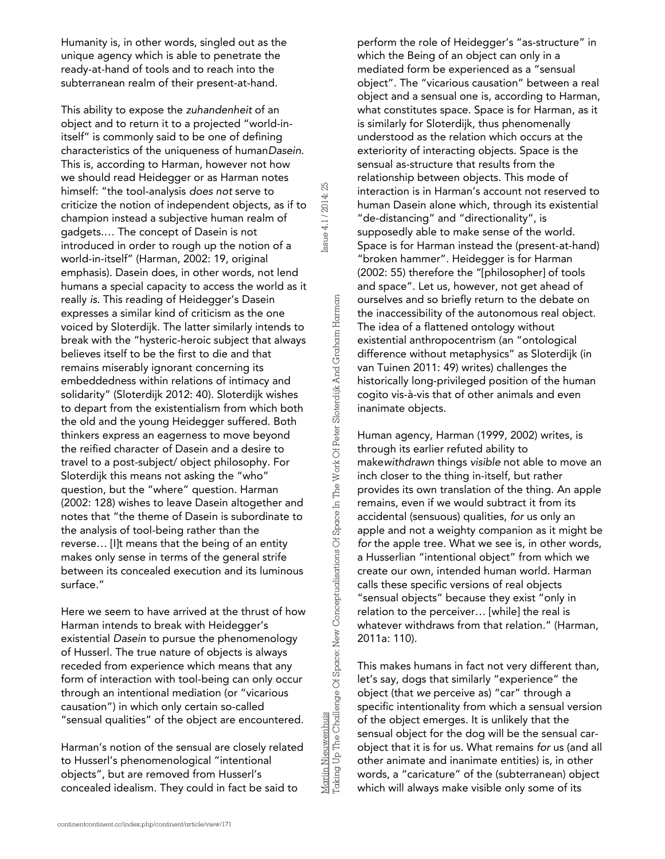Humanity is, in other words, singled out as the unique agency which is able to penetrate the ready-at-hand of tools and to reach into the subterranean realm of their present-at-hand.

This ability to expose the *zuhandenheit* of an object and to return it to a projected "world-initself" is commonly said to be one of defining characteristics of the uniqueness of human*Dasein*. This is, according to Harman, however not how we should read Heidegger or as Harman notes himself: "the tool-analysis *does not* serve to criticize the notion of independent objects, as if to champion instead a subjective human realm of gadgets.… The concept of Dasein is not introduced in order to rough up the notion of a world-in-itself" (Harman, 2002: 19, original emphasis). Dasein does, in other words, not lend humans a special capacity to access the world as it really *is*. This reading of Heidegger's Dasein expresses a similar kind of criticism as the one voiced by Sloterdijk. The latter similarly intends to break with the "hysteric-heroic subject that always believes itself to be the first to die and that remains miserably ignorant concerning its embeddedness within relations of intimacy and solidarity" (Sloterdijk 2012: 40). Sloterdijk wishes to depart from the existentialism from which both the old and the young Heidegger suffered. Both thinkers express an eagerness to move beyond the reified character of Dasein and a desire to travel to a post-subject/ object philosophy. For Sloterdijk this means not asking the "who" question, but the "where" question. Harman (2002: 128) wishes to leave Dasein altogether and notes that "the theme of Dasein is subordinate to the analysis of tool-being rather than the reverse… [I]t means that the being of an entity makes only sense in terms of the general strife between its concealed execution and its luminous surface."

Here we seem to have arrived at the thrust of how Harman intends to break with Heidegger's existential *Dasein* to pursue the phenomenology of Husserl. The true nature of objects is always receded from experience which means that any form of interaction with tool-being can only occur through an intentional mediation (or "vicarious causation") in which only certain so-called "sensual qualities" of the object are encountered.

Harman's notion of the sensual are closely related to Husserl's phenomenological "intentional objects", but are removed from Husserl's concealed idealism. They could in fact be said to

perform the role of Heidegger's "as-structure" in which the Being of an object can only in a mediated form be experienced as a "sensual object". The "vicarious causation" between a real object and a sensual one is, according to Harman, what constitutes space. Space is for Harman, as it is similarly for Sloterdijk, thus phenomenally understood as the relation which occurs at the exteriority of interacting objects. Space is the sensual as-structure that results from the relationship between objects. This mode of interaction is in Harman's account not reserved to human Dasein alone which, through its existential "de-distancing" and "directionality", is supposedly able to make sense of the world. Space is for Harman instead the (present-at-hand) "broken hammer". Heidegger is for Harman (2002: 55) therefore the "[philosopher] of tools and space". Let us, however, not get ahead of ourselves and so briefly return to the debate on the inaccessibility of the autonomous real object. The idea of a flattened ontology without existential anthropocentrism (an "ontological difference without metaphysics" as Sloterdijk (in van Tuinen 2011: 49) writes) challenges the historically long-privileged position of the human cogito vis-à-vis that of other animals and even inanimate objects.

Human agency, Harman (1999, 2002) writes, is through its earlier refuted ability to make*withdrawn* things *visible* not able to move an inch closer to the thing in-itself, but rather provides its own translation of the thing. An apple remains, even if we would subtract it from its accidental (sensuous) qualities, *for* us only an apple and not a weighty companion as it might be *for* the apple tree. What we see is, in other words, a Husserlian "intentional object" from which we create our own, intended human world. Harman calls these specific versions of real objects "sensual objects" because they exist "only in relation to the perceiver… [while] the real is whatever withdraws from that relation." (Harman, 2011a: 110).

This makes humans in fact not very different than, let's say, dogs that similarly "experience" the object (that *we* perceive as) "car" through a specific intentionality from which a sensual version of the object emerges. It is unlikely that the sensual object for the dog will be the sensual carobject that it is for us. What remains *for* us (and all other animate and inanimate entities) is, in other words, a "caricature" of the (subterranean) object which will always make visible only some of its

Issue 4.1 / 2014: 25

ssue 4.1 / 2014: 25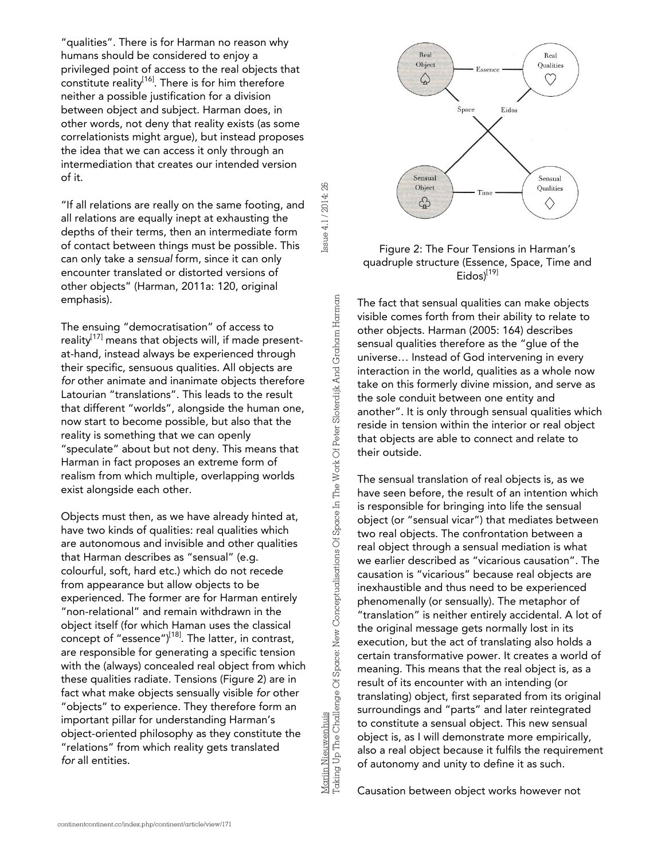"qualities". There is for Harman no reason why humans should be considered to enjoy a privileged point of access to the real objects that constitute reality<sup>[16]</sup>. There is for him therefore neither a possible justification for a division between object and subject. Harman does, in other words, not deny that reality exists (as some correlationists might argue), but instead proposes the idea that we can access it only through an intermediation that creates our intended version of it.

"If all relations are really on the same footing, and all relations are equally inept at exhausting the depths of their terms, then an intermediate form of contact between things must be possible. This can only take a *sensual* form, since it can only encounter translated or distorted versions of other objects" (Harman, 2011a: 120, original emphasis).

The ensuing "democratisation" of access to reality $^{[17]}$  means that objects will, if made presentat-hand, instead always be experienced through their specific, sensuous qualities. All objects are *for* other animate and inanimate objects therefore Latourian "translations". This leads to the result that different "worlds", alongside the human one, now start to become possible, but also that the reality is something that we can openly "speculate" about but not deny. This means that Harman in fact proposes an extreme form of realism from which multiple, overlapping worlds exist alongside each other.

Objects must then, as we have already hinted at, have two kinds of qualities: real qualities which are autonomous and invisible and other qualities that Harman describes as "sensual" (e.g. colourful, soft, hard etc.) which do not recede from appearance but allow objects to be experienced. The former are for Harman entirely "non-relational" and remain withdrawn in the object itself (for which Haman uses the classical concept of "essence") $[18]$ . The latter, in contrast, are responsible for generating a specific tension with the (always) concealed real object from which these qualities radiate. Tensions (Figure 2) are in fact what make objects sensually visible *for* other "objects" to experience. They therefore form an important pillar for understanding Harman's object-oriented philosophy as they constitute the "relations" from which reality gets translated *for* all entities.

Marijn Nieuwenhuis<br>Taking Up The Challenge Of Space: New Conceptualisations Of Space In The Work Of Peter Sloterdijk And Graham Harman Taking Up The Challenge Of Space: New Conceptualisations Of Space In The Work Of Peter Sloterdijk And Graham Harman

Marijn Nieuwenhuis

Issue 4.1 / 2014: 26

Issue 4.1 / 2014: 26



#### Figure 2: The Four Tensions in Harman's quadruple structure (Essence, Space, Time and Eidos)<sup>[19]</sup>

The fact that sensual qualities can make objects visible comes forth from their ability to relate to other objects. Harman (2005: 164) describes sensual qualities therefore as the "glue of the universe… Instead of God intervening in every interaction in the world, qualities as a whole now take on this formerly divine mission, and serve as the sole conduit between one entity and another". It is only through sensual qualities which reside in tension within the interior or real object that objects are able to connect and relate to their outside.

The sensual translation of real objects is, as we have seen before, the result of an intention which is responsible for bringing into life the sensual object (or "sensual vicar") that mediates between two real objects. The confrontation between a real object through a sensual mediation is what we earlier described as "vicarious causation". The causation is "vicarious" because real objects are inexhaustible and thus need to be experienced phenomenally (or sensually). The metaphor of "translation" is neither entirely accidental. A lot of the original message gets normally lost in its execution, but the act of translating also holds a certain transformative power. It creates a world of meaning. This means that the real object is, as a result of its encounter with an intending (or translating) object, first separated from its original surroundings and "parts" and later reintegrated to constitute a sensual object. This new sensual object is, as I will demonstrate more empirically, also a real object because it fulfils the requirement of autonomy and unity to define it as such.

Causation between object works however not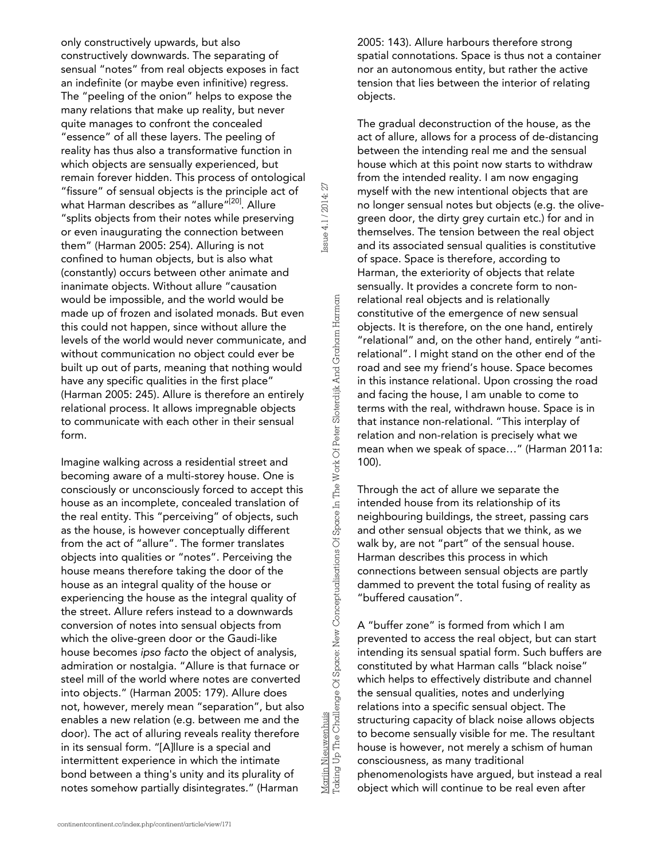only constructively upwards, but also constructively downwards. The separating of sensual "notes" from real objects exposes in fact an indefinite (or maybe even infinitive) regress. The "peeling of the onion" helps to expose the many relations that make up reality, but never quite manages to confront the concealed "essence" of all these layers. The peeling of reality has thus also a transformative function in which objects are sensually experienced, but remain forever hidden. This process of ontological "fissure" of sensual objects is the principle act of what Harman describes as "allure"<sup>[20]</sup>. Allure "splits objects from their notes while preserving or even inaugurating the connection between them" (Harman 2005: 254). Alluring is not confined to human objects, but is also what (constantly) occurs between other animate and inanimate objects. Without allure "causation would be impossible, and the world would be made up of frozen and isolated monads. But even this could not happen, since without allure the levels of the world would never communicate, and without communication no object could ever be built up out of parts, meaning that nothing would have any specific qualities in the first place" (Harman 2005: 245). Allure is therefore an entirely relational process. It allows impregnable objects to communicate with each other in their sensual form.

Imagine walking across a residential street and becoming aware of a multi-storey house. One is consciously or unconsciously forced to accept this house as an incomplete, concealed translation of the real entity. This "perceiving" of objects, such as the house, is however conceptually different from the act of "allure". The former translates objects into qualities or "notes". Perceiving the house means therefore taking the door of the house as an integral quality of the house or experiencing the house as the integral quality of the street. Allure refers instead to a downwards conversion of notes into sensual objects from which the olive-green door or the Gaudi-like house becomes *ipso facto* the object of analysis, admiration or nostalgia. "Allure is that furnace or steel mill of the world where notes are converted into objects." (Harman 2005: 179). Allure does not, however, merely mean "separation", but also enables a new relation (e.g. between me and the door). The act of alluring reveals reality therefore in its sensual form. "[A]llure is a special and intermittent experience in which the intimate bond between a thing's unity and its plurality of notes somehow partially disintegrates." (Harman

Marijn Nieuwenhuis<br>Taking Up The Challenge Of Space: New Conceptualisations Of Space In The Work Of Peter Sloterdijk And Graham Harman Taking Up The Challenge Of Space: New Conceptualisations Of Space In The Work Of Peter Sloterdijk And Graham Harman

Marijn Nieuwenhuis

Issue 4.1 / 2014: 27

Issue 4.1 / 2014: 27

2005: 143). Allure harbours therefore strong spatial connotations. Space is thus not a container nor an autonomous entity, but rather the active tension that lies between the interior of relating objects.

The gradual deconstruction of the house, as the act of allure, allows for a process of de-distancing between the intending real me and the sensual house which at this point now starts to withdraw from the intended reality. I am now engaging myself with the new intentional objects that are no longer sensual notes but objects (e.g. the olivegreen door, the dirty grey curtain etc.) for and in themselves. The tension between the real object and its associated sensual qualities is constitutive of space. Space is therefore, according to Harman, the exteriority of objects that relate sensually. It provides a concrete form to nonrelational real objects and is relationally constitutive of the emergence of new sensual objects. It is therefore, on the one hand, entirely "relational" and, on the other hand, entirely "antirelational". I might stand on the other end of the road and see my friend's house. Space becomes in this instance relational. Upon crossing the road and facing the house, I am unable to come to terms with the real, withdrawn house. Space is in that instance non-relational. "This interplay of relation and non-relation is precisely what we mean when we speak of space…" (Harman 2011a: 100).

Through the act of allure we separate the intended house from its relationship of its neighbouring buildings, the street, passing cars and other sensual objects that we think, as we walk by, are not "part" of the sensual house. Harman describes this process in which connections between sensual objects are partly dammed to prevent the total fusing of reality as "buffered causation".

A "buffer zone" is formed from which I am prevented to access the real object, but can start intending its sensual spatial form. Such buffers are constituted by what Harman calls "black noise" which helps to effectively distribute and channel the sensual qualities, notes and underlying relations into a specific sensual object. The structuring capacity of black noise allows objects to become sensually visible for me. The resultant house is however, not merely a schism of human consciousness, as many traditional phenomenologists have argued, but instead a real object which will continue to be real even after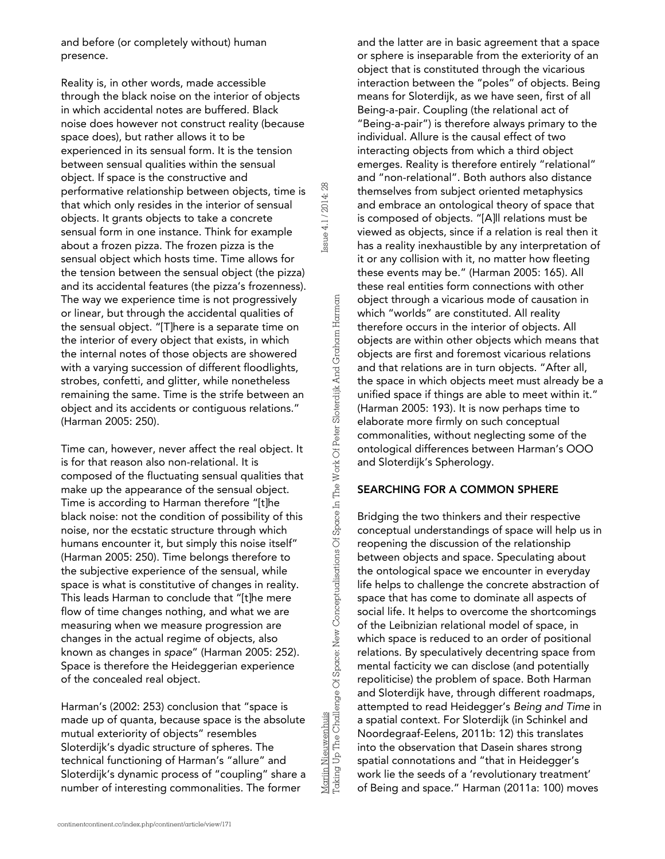and before (or completely without) human presence.

Reality is, in other words, made accessible through the black noise on the interior of objects in which accidental notes are buffered. Black noise does however not construct reality (because space does), but rather allows it to be experienced in its sensual form. It is the tension between sensual qualities within the sensual object. If space is the constructive and performative relationship between objects, time is that which only resides in the interior of sensual objects. It grants objects to take a concrete sensual form in one instance. Think for example about a frozen pizza. The frozen pizza is the sensual object which hosts time. Time allows for the tension between the sensual object (the pizza) and its accidental features (the pizza's frozenness). The way we experience time is not progressively or linear, but through the accidental qualities of the sensual object. "[T]here is a separate time on the interior of every object that exists, in which the internal notes of those objects are showered with a varying succession of different floodlights, strobes, confetti, and glitter, while nonetheless remaining the same. Time is the strife between an object and its accidents or contiguous relations." (Harman 2005: 250).

Issue 4.1 / 2014: 28

ssue 4.1/2014:28

Marijn Nieuwenhuis

Taking Up The Challenge Of Space: New Conceptualisations Of Space In The Work Of Peter Sloterdijk And Graham Harman

Mariin Nieuwenhuis<br>Taking Up The Challenge Of Space: New Conceptualisations Of Space In The Work Of Peter Sloterdijk And Graham Harman

Time can, however, never affect the real object. It is for that reason also non-relational. It is composed of the fluctuating sensual qualities that make up the appearance of the sensual object. Time is according to Harman therefore "[t]he black noise: not the condition of possibility of this noise, nor the ecstatic structure through which humans encounter it, but simply this noise itself" (Harman 2005: 250). Time belongs therefore to the subjective experience of the sensual, while space is what is constitutive of changes in reality. This leads Harman to conclude that "[t]he mere flow of time changes nothing, and what we are measuring when we measure progression are changes in the actual regime of objects, also known as changes in *space*" (Harman 2005: 252). Space is therefore the Heideggerian experience of the concealed real object.

Harman's (2002: 253) conclusion that "space is made up of quanta, because space is the absolute mutual exteriority of objects" resembles Sloterdijk's dyadic structure of spheres. The technical functioning of Harman's "allure" and Sloterdijk's dynamic process of "coupling" share a number of interesting commonalities. The former

and the latter are in basic agreement that a space or sphere is inseparable from the exteriority of an object that is constituted through the vicarious interaction between the "poles" of objects. Being means for Sloterdijk, as we have seen, first of all Being-a-pair. Coupling (the relational act of "Being-a-pair") is therefore always primary to the individual. Allure is the causal effect of two interacting objects from which a third object emerges. Reality is therefore entirely "relational" and "non-relational". Both authors also distance themselves from subject oriented metaphysics and embrace an ontological theory of space that is composed of objects. "[A]ll relations must be viewed as objects, since if a relation is real then it has a reality inexhaustible by any interpretation of it or any collision with it, no matter how fleeting these events may be." (Harman 2005: 165). All these real entities form connections with other object through a vicarious mode of causation in which "worlds" are constituted. All reality therefore occurs in the interior of objects. All objects are within other objects which means that objects are first and foremost vicarious relations and that relations are in turn objects. "After all, the space in which objects meet must already be a unified space if things are able to meet within it." (Harman 2005: 193). It is now perhaps time to elaborate more firmly on such conceptual commonalities, without neglecting some of the ontological differences between Harman's OOO and Sloterdijk's Spherology.

#### SEARCHING FOR A COMMON SPHERE

Bridging the two thinkers and their respective conceptual understandings of space will help us in reopening the discussion of the relationship between objects and space. Speculating about the ontological space we encounter in everyday life helps to challenge the concrete abstraction of space that has come to dominate all aspects of social life. It helps to overcome the shortcomings of the Leibnizian relational model of space, in which space is reduced to an order of positional relations. By speculatively decentring space from mental facticity we can disclose (and potentially repoliticise) the problem of space. Both Harman and Sloterdijk have, through different roadmaps, attempted to read Heidegger's *Being and Time* in a spatial context. For Sloterdijk (in Schinkel and Noordegraaf-Eelens, 2011b: 12) this translates into the observation that Dasein shares strong spatial connotations and "that in Heidegger's work lie the seeds of a 'revolutionary treatment' of Being and space." Harman (2011a: 100) moves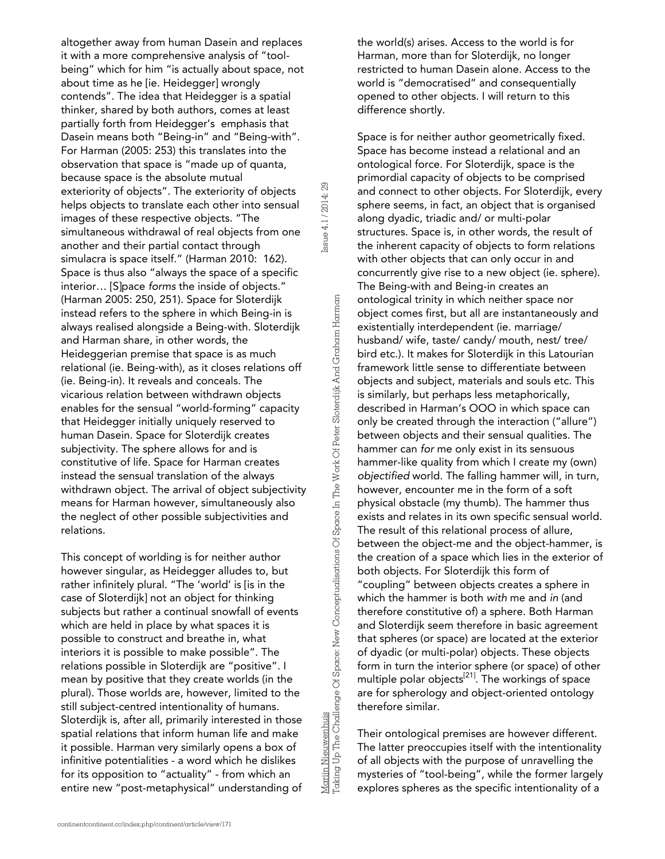altogether away from human Dasein and replaces it with a more comprehensive analysis of "toolbeing" which for him "is actually about space, not about time as he [ie. Heidegger] wrongly contends". The idea that Heidegger is a spatial thinker, shared by both authors, comes at least partially forth from Heidegger's emphasis that Dasein means both "Being-in" and "Being-with". For Harman (2005: 253) this translates into the observation that space is "made up of quanta, because space is the absolute mutual exteriority of objects". The exteriority of objects helps objects to translate each other into sensual images of these respective objects. "The simultaneous withdrawal of real objects from one another and their partial contact through simulacra is space itself." (Harman 2010: 162). Space is thus also "always the space of a specific interior… [S]pace *forms* the inside of objects." (Harman 2005: 250, 251). Space for Sloterdijk instead refers to the sphere in which Being-in is always realised alongside a Being-with. Sloterdijk and Harman share, in other words, the Heideggerian premise that space is as much relational (ie. Being-with), as it closes relations off (ie. Being-in). It reveals and conceals. The vicarious relation between withdrawn objects enables for the sensual "world-forming" capacity that Heidegger initially uniquely reserved to human Dasein. Space for Sloterdijk creates subjectivity. The sphere allows for and is constitutive of life. Space for Harman creates instead the sensual translation of the always withdrawn object. The arrival of object subjectivity means for Harman however, simultaneously also the neglect of other possible subjectivities and relations.

This concept of worlding is for neither author however singular, as Heidegger alludes to, but rather infinitely plural. "The 'world' is [is in the case of Sloterdijk] not an object for thinking subjects but rather a continual snowfall of events which are held in place by what spaces it is possible to construct and breathe in, what interiors it is possible to make possible". The relations possible in Sloterdijk are "positive". I mean by positive that they create worlds (in the plural). Those worlds are, however, limited to the still subject-centred intentionality of humans. Sloterdijk is, after all, primarily interested in those spatial relations that inform human life and make it possible. Harman very similarly opens a box of infinitive potentialities - a word which he dislikes for its opposition to "actuality" - from which an entire new "post-metaphysical" understanding of

Mariin Nieuwenhuis<br>Taking Up The Challenge Of Space: New Conceptualisations Of Space In The Work Of Peter Sloterdijk And Graham Harman Taking Up The Challenge Of Space: New Conceptualisations Of Space In The Work Of Peter Sloterdijk And Graham Harman

Marijn Nieuwenhuis

Issue 4.1 / 2014: 29

ssue 4.1/2014: 29

the world(s) arises. Access to the world is for Harman, more than for Sloterdijk, no longer restricted to human Dasein alone. Access to the world is "democratised" and consequentially opened to other objects. I will return to this difference shortly.

Space is for neither author geometrically fixed. Space has become instead a relational and an ontological force. For Sloterdijk, space is the primordial capacity of objects to be comprised and connect to other objects. For Sloterdijk, every sphere seems, in fact, an object that is organised along dyadic, triadic and/ or multi-polar structures. Space is, in other words, the result of the inherent capacity of objects to form relations with other objects that can only occur in and concurrently give rise to a new object (ie. sphere). The Being-with and Being-in creates an ontological trinity in which neither space nor object comes first, but all are instantaneously and existentially interdependent (ie. marriage/ husband/ wife, taste/ candy/ mouth, nest/ tree/ bird etc.). It makes for Sloterdijk in this Latourian framework little sense to differentiate between objects and subject, materials and souls etc. This is similarly, but perhaps less metaphorically, described in Harman's OOO in which space can only be created through the interaction ("allure") between objects and their sensual qualities. The hammer can *for* me only exist in its sensuous hammer-like quality from which I create my (own) *objectified* world. The falling hammer will, in turn, however, encounter me in the form of a soft physical obstacle (my thumb). The hammer thus exists and relates in its own specific sensual world. The result of this relational process of allure, between the object-me and the object-hammer, is the creation of a space which lies in the exterior of both objects. For Sloterdijk this form of "coupling" between objects creates a sphere in which the hammer is both *with* me and *in* (and therefore constitutive of) a sphere. Both Harman and Sloterdijk seem therefore in basic agreement that spheres (or space) are located at the exterior of dyadic (or multi-polar) objects. These objects form in turn the interior sphere (or space) of other multiple polar objects<sup>[21]</sup>. The workings of space are for spherology and object-oriented ontology therefore similar.

Their ontological premises are however different. The latter preoccupies itself with the intentionality of all objects with the purpose of unravelling the mysteries of "tool-being", while the former largely explores spheres as the specific intentionality of a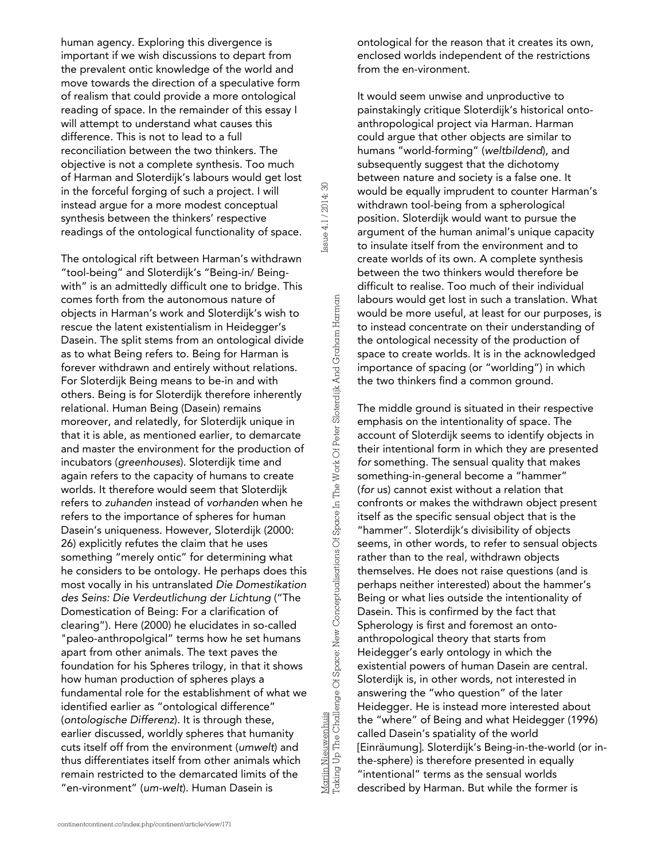human agency. Exploring this divergence is important if we wish discussions to depart from the prevalent ontic knowledge of the world and move towards the direction of a speculative form of realism that could provide a more ontological reading of space. In the remainder of this essay I will attempt to understand what causes this difference. This is not to lead to a full reconciliation between the two thinkers. The objective is not a complete synthesis. Too much of Harman and Sloterdijk's labours would get lost in the forceful forging of such a project. I will instead argue for a more modest conceptual synthesis between the thinkers' respective readings of the ontological functionality of space.

The ontological rift between Harman's withdrawn "tool-being" and Sloterdijk's "Being-in/ Beingwith" is an admittedly difficult one to bridge. This comes forth from the autonomous nature of objects in Harman's work and Sloterdijk's wish to rescue the latent existentialism in Heidegger's Dasein. The split stems from an ontological divide as to what Being refers to. Being for Harman is forever withdrawn and entirely without relations. For Sloterdijk Being means to be-in and with others. Being is for Sloterdijk therefore inherently relational. Human Being (Dasein) remains moreover, and relatedly, for Sloterdijk unique in that it is able, as mentioned earlier, to demarcate and master the environment for the production of incubators (*greenhouses*). Sloterdijk time and again refers to the capacity of humans to create worlds. It therefore would seem that Sloterdijk refers to *zuhanden* instead of *vorhanden* when he refers to the importance of spheres for human Dasein's uniqueness. However, Sloterdijk (2000: 26) explicitly refutes the claim that he uses something "merely ontic" for determining what he considers to be ontology. He perhaps does this most vocally in his untranslated *Die Domestikation des Seins: Die Verdeutlichung der Lichtung* ("The Domestication of Being: For a clarification of clearing"). Here (2000) he elucidates in so-called "paleo-anthropolgical" terms how he set humans apart from other animals. The text paves the foundation for his Spheres trilogy, in that it shows how human production of spheres plays a fundamental role for the establishment of what we identified earlier as "ontological difference" (*ontologische Differenz*). It is through these, earlier discussed, worldly spheres that humanity cuts itself off from the environment (*umwelt*) and thus differentiates itself from other animals which remain restricted to the demarcated limits of the "en-vironment" (*um-welt*). Human Dasein is

Marijn Nieuwenhuis<br>Taking Up The Challenge Of Space: New Conceptualisations Of Space In The Work Of Peter Sloterdijk And Graham Harman Taking Up The Challenge Of Space: New Conceptualisations Of Space In The Work Of Peter Sloterdijk And Graham Harman

Marijn Nieuwenhuis

Issue 4.1 / 2014: 30

Issue 4.1 / 2014: 30

ontological for the reason that it creates its own, enclosed worlds independent of the restrictions from the en-vironment.

It would seem unwise and unproductive to painstakingly critique Sloterdijk's historical ontoanthropological project via Harman. Harman could argue that other objects are similar to humans "world-forming" (*weltbildend*), and subsequently suggest that the dichotomy between nature and society is a false one. It would be equally imprudent to counter Harman's withdrawn tool-being from a spherological position. Sloterdijk would want to pursue the argument of the human animal's unique capacity to insulate itself from the environment and to create worlds of its own. A complete synthesis between the two thinkers would therefore be difficult to realise. Too much of their individual labours would get lost in such a translation. What would be more useful, at least for our purposes, is to instead concentrate on their understanding of the ontological necessity of the production of space to create worlds. It is in the acknowledged importance of spacing (or "worlding") in which the two thinkers find a common ground.

The middle ground is situated in their respective emphasis on the intentionality of space. The account of Sloterdijk seems to identify objects in their intentional form in which they are presented *for* something. The sensual quality that makes something-in-general become a "hammer" (*for* us) cannot exist without a relation that confronts or makes the withdrawn object present itself as the specific sensual object that is the "hammer". Sloterdijk's divisibility of objects seems, in other words, to refer to sensual objects rather than to the real, withdrawn objects themselves. He does not raise questions (and is perhaps neither interested) about the hammer's Being or what lies outside the intentionality of Dasein. This is confirmed by the fact that Spherology is first and foremost an ontoanthropological theory that starts from Heidegger's early ontology in which the existential powers of human Dasein are central. Sloterdijk is, in other words, not interested in answering the "who question" of the later Heidegger. He is instead more interested about the "where" of Being and what Heidegger (1996) called Dasein's spatiality of the world [Einräumung]. Sloterdijk's Being-in-the-world (or inthe-sphere) is therefore presented in equally "intentional" terms as the sensual worlds described by Harman. But while the former is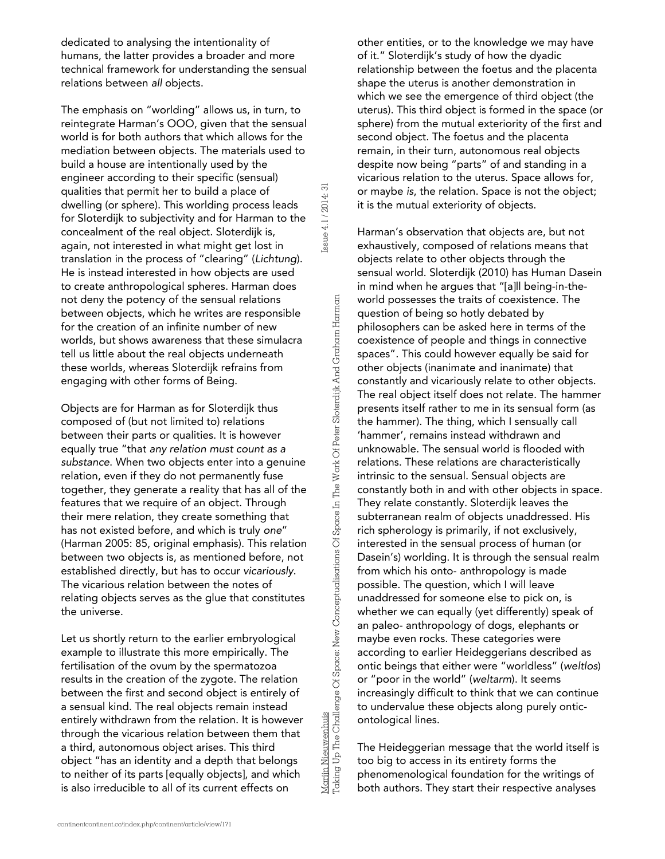dedicated to analysing the intentionality of humans, the latter provides a broader and more technical framework for understanding the sensual relations between *all* objects.

The emphasis on "worlding" allows us, in turn, to reintegrate Harman's OOO, given that the sensual world is for both authors that which allows for the mediation between objects. The materials used to build a house are intentionally used by the engineer according to their specific (sensual) qualities that permit her to build a place of dwelling (or sphere). This worlding process leads for Sloterdijk to subjectivity and for Harman to the concealment of the real object. Sloterdijk is, again, not interested in what might get lost in translation in the process of "clearing" (*Lichtung*). He is instead interested in how objects are used to create anthropological spheres. Harman does not deny the potency of the sensual relations between objects, which he writes are responsible for the creation of an infinite number of new worlds, but shows awareness that these simulacra tell us little about the real objects underneath these worlds, whereas Sloterdijk refrains from engaging with other forms of Being.

Issue 4.1 / 2014: 31

Issue 4.1 / 2014: 31

Marijn Nieuwenhuis

Taking Up The Challenge Of Space: New Conceptualisations Of Space In The Work Of Peter Sloterdijk And Graham Harman

Mariin Nieuwenhuis<br>Taking Up The Challenge Of Space: New Conceptualisations Of Space In The Work Of Peter Sloterdijk And Graham Harman

Objects are for Harman as for Sloterdijk thus composed of (but not limited to) relations between their parts or qualities. It is however equally true "that *any relation must count as a substance*. When two objects enter into a genuine relation, even if they do not permanently fuse together, they generate a reality that has all of the features that we require of an object. Through their mere relation, they create something that has not existed before, and which is truly *one*" (Harman 2005: 85, original emphasis). This relation between two objects is, as mentioned before, not established directly, but has to occur *vicariously*. The vicarious relation between the notes of relating objects serves as the glue that constitutes the universe.

Let us shortly return to the earlier embryological example to illustrate this more empirically. The fertilisation of the ovum by the spermatozoa results in the creation of the zygote. The relation between the first and second object is entirely of a sensual kind. The real objects remain instead entirely withdrawn from the relation. It is however through the vicarious relation between them that a third, autonomous object arises. This third object "has an identity and a depth that belongs to neither of its parts [equally objects], and which is also irreducible to all of its current effects on

other entities, or to the knowledge we may have of it." Sloterdijk's study of how the dyadic relationship between the foetus and the placenta shape the uterus is another demonstration in which we see the emergence of third object (the uterus). This third object is formed in the space (or sphere) from the mutual exteriority of the first and second object. The foetus and the placenta remain, in their turn, autonomous real objects despite now being "parts" of and standing in a vicarious relation to the uterus. Space allows for, or maybe *is*, the relation. Space is not the object; it is the mutual exteriority of objects.

Harman's observation that objects are, but not exhaustively, composed of relations means that objects relate to other objects through the sensual world. Sloterdijk (2010) has Human Dasein in mind when he argues that "[a]ll being-in-theworld possesses the traits of coexistence. The question of being so hotly debated by philosophers can be asked here in terms of the coexistence of people and things in connective spaces". This could however equally be said for other objects (inanimate and inanimate) that constantly and vicariously relate to other objects. The real object itself does not relate. The hammer presents itself rather to me in its sensual form (as the hammer). The thing, which I sensually call 'hammer', remains instead withdrawn and unknowable. The sensual world is flooded with relations. These relations are characteristically intrinsic to the sensual. Sensual objects are constantly both in and with other objects in space. They relate constantly. Sloterdijk leaves the subterranean realm of objects unaddressed. His rich spherology is primarily, if not exclusively, interested in the sensual process of human (or Dasein's) worlding. It is through the sensual realm from which his onto- anthropology is made possible. The question, which I will leave unaddressed for someone else to pick on, is whether we can equally (yet differently) speak of an paleo- anthropology of dogs, elephants or maybe even rocks. These categories were according to earlier Heideggerians described as ontic beings that either were "worldless" (*weltlos*) or "poor in the world" (*weltarm*). It seems increasingly difficult to think that we can continue to undervalue these objects along purely onticontological lines.

The Heideggerian message that the world itself is too big to access in its entirety forms the phenomenological foundation for the writings of both authors. They start their respective analyses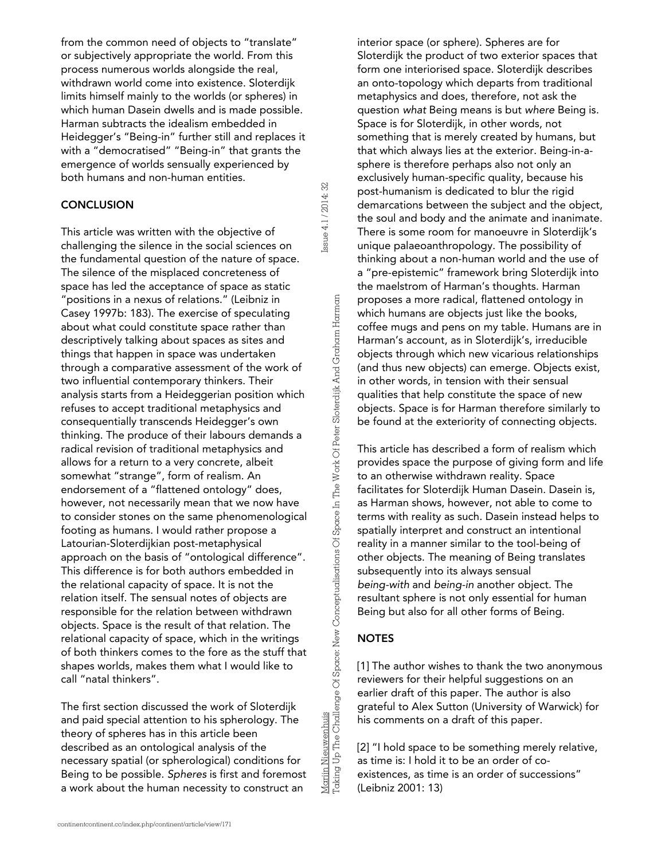from the common need of objects to "translate" or subjectively appropriate the world. From this process numerous worlds alongside the real, withdrawn world come into existence. Sloterdijk limits himself mainly to the worlds (or spheres) in which human Dasein dwells and is made possible. Harman subtracts the idealism embedded in Heidegger's "Being-in" further still and replaces it with a "democratised" "Being-in" that grants the emergence of worlds sensually experienced by both humans and non-human entities.

#### **CONCLUSION**

This article was written with the objective of challenging the silence in the social sciences on the fundamental question of the nature of space. The silence of the misplaced concreteness of space has led the acceptance of space as static "positions in a nexus of relations." (Leibniz in Casey 1997b: 183). The exercise of speculating about what could constitute space rather than descriptively talking about spaces as sites and things that happen in space was undertaken through a comparative assessment of the work of two influential contemporary thinkers. Their analysis starts from a Heideggerian position which refuses to accept traditional metaphysics and consequentially transcends Heidegger's own thinking. The produce of their labours demands a radical revision of traditional metaphysics and allows for a return to a very concrete, albeit somewhat "strange", form of realism. An endorsement of a "flattened ontology" does, however, not necessarily mean that we now have to consider stones on the same phenomenological footing as humans. I would rather propose a Latourian-Sloterdijkian post-metaphysical approach on the basis of "ontological difference". This difference is for both authors embedded in the relational capacity of space. It is not the relation itself. The sensual notes of objects are responsible for the relation between withdrawn objects. Space is the result of that relation. The relational capacity of space, which in the writings of both thinkers comes to the fore as the stuff that shapes worlds, makes them what I would like to call "natal thinkers".

The first section discussed the work of Sloterdijk and paid special attention to his spherology. The theory of spheres has in this article been described as an ontological analysis of the necessary spatial (or spherological) conditions for Being to be possible. *Spheres* is first and foremost a work about the human necessity to construct an

interior space (or sphere). Spheres are for Sloterdijk the product of two exterior spaces that form one interiorised space. Sloterdijk describes an onto-topology which departs from traditional metaphysics and does, therefore, not ask the question *what* Being means is but *where* Being is. Space is for Sloterdijk, in other words, not something that is merely created by humans, but that which always lies at the exterior. Being-in-asphere is therefore perhaps also not only an exclusively human-specific quality, because his post-humanism is dedicated to blur the rigid demarcations between the subject and the object, the soul and body and the animate and inanimate. There is some room for manoeuvre in Sloterdijk's unique palaeoanthropology. The possibility of thinking about a non-human world and the use of a "pre-epistemic" framework bring Sloterdijk into the maelstrom of Harman's thoughts. Harman proposes a more radical, flattened ontology in which humans are objects just like the books, coffee mugs and pens on my table. Humans are in Harman's account, as in Sloterdijk's, irreducible objects through which new vicarious relationships (and thus new objects) can emerge. Objects exist, in other words, in tension with their sensual qualities that help constitute the space of new objects. Space is for Harman therefore similarly to be found at the exteriority of connecting objects.

This article has described a form of realism which provides space the purpose of giving form and life to an otherwise withdrawn reality. Space facilitates for Sloterdijk Human Dasein. Dasein is, as Harman shows, however, not able to come to terms with reality as such. Dasein instead helps to spatially interpret and construct an intentional reality in a manner similar to the tool-being of other objects. The meaning of Being translates subsequently into its always sensual *being-with* and *being-in* another object. The resultant sphere is not only essential for human Being but also for all other forms of Being.

# **NOTES**

[1] The author wishes to thank the two anonymous reviewers for their helpful suggestions on an earlier draft of this paper. The author is also grateful to Alex Sutton (University of Warwick) for his comments on a draft of this paper.

[2] "I hold space to be something merely relative, as time is: I hold it to be an order of coexistences, as time is an order of successions" (Leibniz 2001: 13)

Mariin Nieuwenhuis<br>Taking Up The Challenge Of Space: New Conceptualisations Of Space In The Work Of Peter Sloterdijk And Graham Harman Taking Up The Challenge Of Space: New Conceptualisations Of Space In The Work Of Peter Sloterdijk And Graham HarmanMarijn Nieuwenhuis

Issue 4.1 / 2014: 32

Issue 4.1 / 2014: 32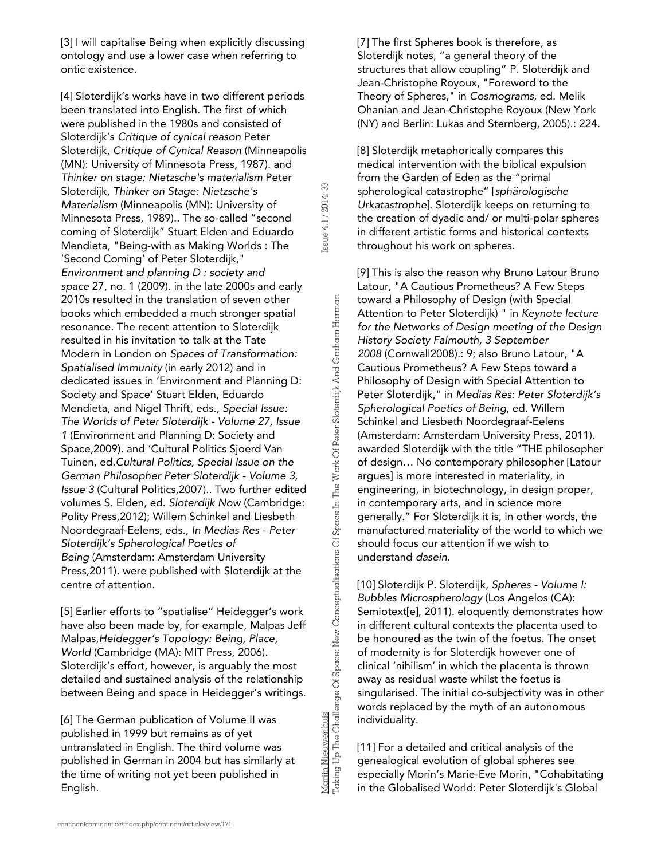[3] I will capitalise Being when explicitly discussing ontology and use a lower case when referring to ontic existence.

[4] Sloterdijk's works have in two different periods been translated into English. The first of which were published in the 1980s and consisted of Sloterdijk's *Critique of cynical reason* Peter Sloterdijk, *Critique of Cynical Reason* (Minneapolis (MN): University of Minnesota Press, 1987). and *Thinker on stage: Nietzsche's materialism* Peter Sloterdijk, *Thinker on Stage: Nietzsche's Materialism* (Minneapolis (MN): University of Minnesota Press, 1989).. The so-called "second coming of Sloterdijk" Stuart Elden and Eduardo Mendieta, "Being-with as Making Worlds : The 'Second Coming' of Peter Sloterdijk," *Environment and planning D : society and space* 27, no. 1 (2009). in the late 2000s and early 2010s resulted in the translation of seven other books which embedded a much stronger spatial resonance. The recent attention to Sloterdijk resulted in his invitation to talk at the Tate Modern in London on *Spaces of Transformation: Spatialised Immunity* (in early 2012) and in dedicated issues in 'Environment and Planning D: Society and Space' Stuart Elden, Eduardo Mendieta, and Nigel Thrift, eds., *Special Issue: The Worlds of Peter Sloterdijk - Volume 27, Issue 1* (Environment and Planning D: Society and Space,2009). and 'Cultural Politics Sjoerd Van Tuinen, ed.*Cultural Politics, Special Issue on the German Philosopher Peter Sloterdijk - Volume 3, Issue 3* (Cultural Politics,2007).. Two further edited volumes S. Elden, ed. *Sloterdijk Now* (Cambridge: Polity Press,2012); Willem Schinkel and Liesbeth Noordegraaf-Eelens, eds., *In Medias Res - Peter Sloterdijk's Spherological Poetics of Being* (Amsterdam: Amsterdam University Press,2011). were published with Sloterdijk at the centre of attention.

[5] Earlier efforts to "spatialise" Heidegger's work have also been made by, for example, Malpas Jeff Malpas,*Heidegger's Topology: Being, Place, World* (Cambridge (MA): MIT Press, 2006). Sloterdijk's effort, however, is arguably the most detailed and sustained analysis of the relationship between Being and space in Heidegger's writings.

[6] The German publication of Volume II was published in 1999 but remains as of yet untranslated in English. The third volume was published in German in 2004 but has similarly at the time of writing not yet been published in English.

Mariin Nieuwenhuis<br>Taking Up The Challenge Of Space: New Conceptualisations Of Space In The Work Of Peter Sloterdijk And Graham Harman Taking Up The Challenge Of Space: New Conceptualisations Of Space In The Work Of Peter Sloterdijk And Graham Harman

Marijn Nieuwenhuis

Issue 4.1 / 2014: 33

ssue 4.1 / 2014: 33

[7] The first Spheres book is therefore, as Sloterdijk notes, "a general theory of the structures that allow coupling" P. Sloterdijk and Jean-Christophe Royoux, "Foreword to the Theory of Spheres," in *Cosmograms*, ed. Melik Ohanian and Jean-Christophe Royoux (New York (NY) and Berlin: Lukas and Sternberg, 2005).: 224.

[8] Sloterdijk metaphorically compares this medical intervention with the biblical expulsion from the Garden of Eden as the "primal spherological catastrophe" [*sphärologische Urkatastrophe*]. Sloterdijk keeps on returning to the creation of dyadic and/ or multi-polar spheres in different artistic forms and historical contexts throughout his work on spheres.

[9] This is also the reason why Bruno Latour Bruno Latour, "A Cautious Prometheus? A Few Steps toward a Philosophy of Design (with Special Attention to Peter Sloterdijk) " in *Keynote lecture for the Networks of Design meeting of the Design History Society Falmouth, 3 September 2008* (Cornwall2008).: 9; also Bruno Latour, "A Cautious Prometheus? A Few Steps toward a Philosophy of Design with Special Attention to Peter Sloterdijk," in *Medias Res: Peter Sloterdijk's Spherological Poetics of Being*, ed. Willem Schinkel and Liesbeth Noordegraaf-Eelens (Amsterdam: Amsterdam University Press, 2011). awarded Sloterdijk with the title "THE philosopher of design… No contemporary philosopher [Latour argues] is more interested in materiality, in engineering, in biotechnology, in design proper, in contemporary arts, and in science more generally." For Sloterdijk it is, in other words, the manufactured materiality of the world to which we should focus our attention if we wish to understand *dasein*.

[10] Sloterdijk P. Sloterdijk, *Spheres - Volume I: Bubbles Microspherology* (Los Angelos (CA): Semiotext[e], 2011). eloquently demonstrates how in different cultural contexts the placenta used to be honoured as the twin of the foetus. The onset of modernity is for Sloterdijk however one of clinical 'nihilism' in which the placenta is thrown away as residual waste whilst the foetus is singularised. The initial co-subjectivity was in other words replaced by the myth of an autonomous individuality.

[11] For a detailed and critical analysis of the genealogical evolution of global spheres see especially Morin's Marie-Eve Morin, "Cohabitating in the Globalised World: Peter Sloterdijk's Global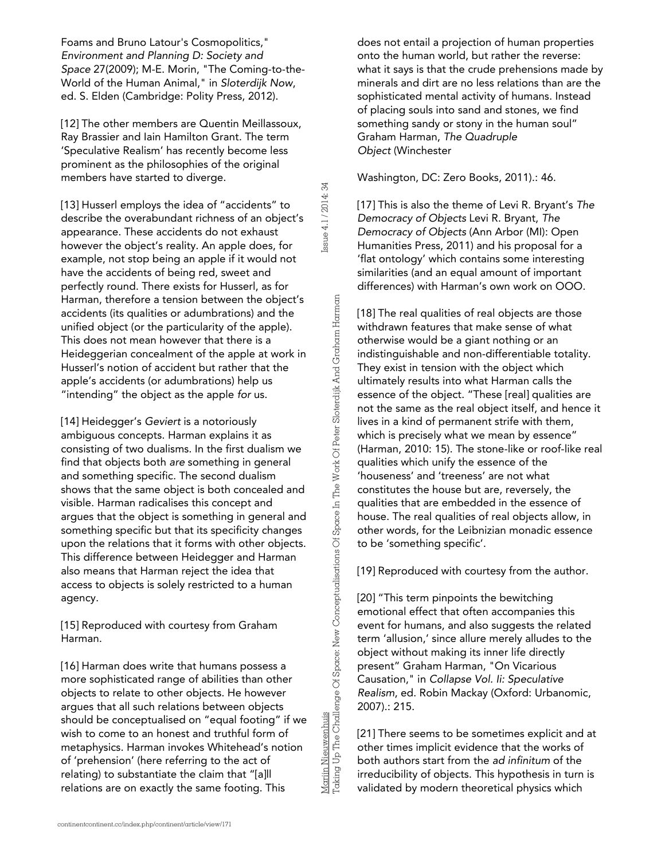Foams and Bruno Latour's Cosmopolitics," *Environment and Planning D: Society and Space* 27(2009); M-E. Morin, "The Coming-to-the-World of the Human Animal," in *Sloterdijk Now*, ed. S. Elden (Cambridge: Polity Press, 2012).

[12] The other members are Quentin Meillassoux, Ray Brassier and Iain Hamilton Grant. The term 'Speculative Realism' has recently become less prominent as the philosophies of the original members have started to diverge.

[13] Husserl employs the idea of "accidents" to describe the overabundant richness of an object's appearance. These accidents do not exhaust however the object's reality. An apple does, for example, not stop being an apple if it would not have the accidents of being red, sweet and perfectly round. There exists for Husserl, as for Harman, therefore a tension between the object's accidents (its qualities or adumbrations) and the unified object (or the particularity of the apple). This does not mean however that there is a Heideggerian concealment of the apple at work in Husserl's notion of accident but rather that the apple's accidents (or adumbrations) help us "intending" the object as the apple *for* us.

[14] Heidegger's *Geviert* is a notoriously ambiguous concepts. Harman explains it as consisting of two dualisms. In the first dualism we find that objects both *are* something in general and something specific. The second dualism shows that the same object is both concealed and visible. Harman radicalises this concept and argues that the object is something in general and something specific but that its specificity changes upon the relations that it forms with other objects. This difference between Heidegger and Harman also means that Harman reject the idea that access to objects is solely restricted to a human agency.

[15] Reproduced with courtesy from Graham Harman.

[16] Harman does write that humans possess a more sophisticated range of abilities than other objects to relate to other objects. He however argues that all such relations between objects should be conceptualised on "equal footing" if we wish to come to an honest and truthful form of metaphysics. Harman invokes Whitehead's notion of 'prehension' (here referring to the act of relating) to substantiate the claim that "[a]ll relations are on exactly the same footing. This

does not entail a projection of human properties onto the human world, but rather the reverse: what it says is that the crude prehensions made by minerals and dirt are no less relations than are the sophisticated mental activity of humans. Instead of placing souls into sand and stones, we find something sandy or stony in the human soul" Graham Harman, *The Quadruple Object* (Winchester

#### Washington, DC: Zero Books, 2011).: 46.

[17] This is also the theme of Levi R. Bryant's *The Democracy of Objects* Levi R. Bryant, *The Democracy of Objects* (Ann Arbor (MI): Open Humanities Press, 2011) and his proposal for a 'flat ontology' which contains some interesting similarities (and an equal amount of important differences) with Harman's own work on OOO.

[18] The real qualities of real objects are those withdrawn features that make sense of what otherwise would be a giant nothing or an indistinguishable and non-differentiable totality. They exist in tension with the object which ultimately results into what Harman calls the essence of the object. "These [real] qualities are not the same as the real object itself, and hence it lives in a kind of permanent strife with them, which is precisely what we mean by essence" (Harman, 2010: 15). The stone-like or roof-like real qualities which unify the essence of the 'houseness' and 'treeness' are not what constitutes the house but are, reversely, the qualities that are embedded in the essence of house. The real qualities of real objects allow, in other words, for the Leibnizian monadic essence to be 'something specific'.

[19] Reproduced with courtesy from the author.

[20] "This term pinpoints the bewitching emotional effect that often accompanies this event for humans, and also suggests the related term 'allusion,' since allure merely alludes to the object without making its inner life directly present" Graham Harman, "On Vicarious Causation," in *Collapse Vol. Ii: Speculative Realism*, ed. Robin Mackay (Oxford: Urbanomic, 2007).: 215.

[21] There seems to be sometimes explicit and at other times implicit evidence that the works of both authors start from the *ad infinitum* of the irreducibility of objects. This hypothesis in turn is validated by modern theoretical physics which

Mariin Nieuwenhuis<br>Taking Up The Challenge Of Space: New Conceptualisations Of Space In The Work Of Peter Sloterdijk And Graham Harman Taking Up The Challenge Of Space: New Conceptualisations Of Space In The Work Of Peter Sloterdijk And Graham HarmanMarijn Nieuwenhuis

Issue 4.1 / 2014: 34

Issue 4.1 / 2014: 34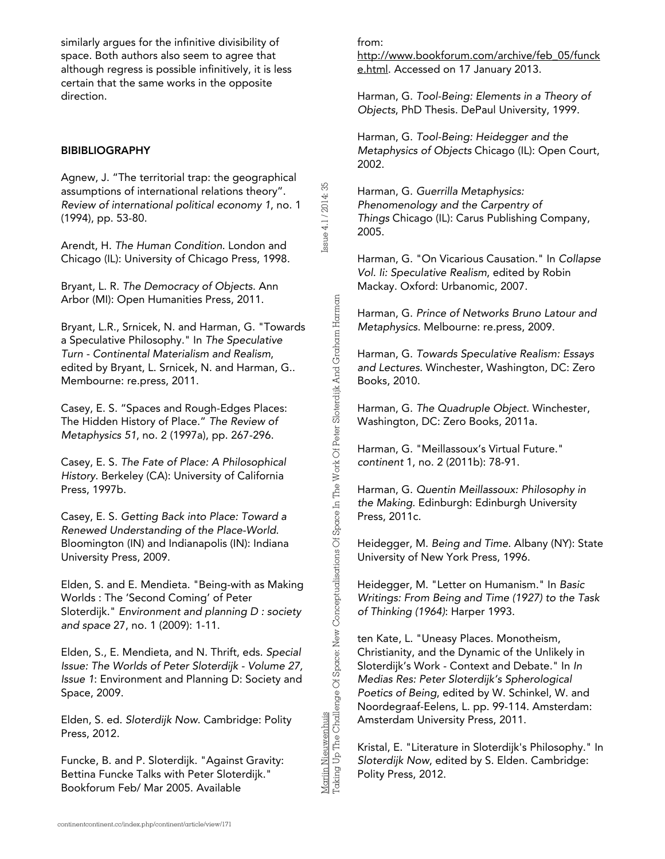similarly argues for the infinitive divisibility of space. Both authors also seem to agree that although regress is possible infinitively, it is less certain that the same works in the opposite direction.

### BIBIBLIOGRAPHY

Agnew, J. "The territorial trap: the geographical assumptions of international relations theory". *Review of international political economy 1*, no. 1 (1994), pp. 53-80.

Arendt, H. *The Human Condition*. London and Chicago (IL): University of Chicago Press, 1998.

Bryant, L. R. *The Democracy of Objects*. Ann Arbor (MI): Open Humanities Press, 2011.

Bryant, L.R., Srnicek, N. and Harman, G. "Towards a Speculative Philosophy." In *The Speculative Turn - Continental Materialism and Realism*, edited by Bryant, L. Srnicek, N. and Harman, G.. Membourne: re.press, 2011.

Casey, E. S. "Spaces and Rough-Edges Places: The Hidden History of Place." *The Review of Metaphysics 51*, no. 2 (1997a), pp. 267-296.

Casey, E. S. *The Fate of Place: A Philosophical History*. Berkeley (CA): University of California Press, 1997b.

Casey, E. S. *Getting Back into Place: Toward a Renewed Understanding of the Place-World*. Bloomington (IN) and Indianapolis (IN): Indiana University Press, 2009.

Elden, S. and E. Mendieta. "Being-with as Making Worlds : The 'Second Coming' of Peter Sloterdijk." *Environment and planning D : society and space* 27, no. 1 (2009): 1-11.

Elden, S., E. Mendieta, and N. Thrift, eds. *Special Issue: The Worlds of Peter Sloterdijk - Volume 27, Issue 1*: Environment and Planning D: Society and Space, 2009.

Elden, S. ed. *Sloterdijk Now*. Cambridge: Polity Press, 2012.

Funcke, B. and P. Sloterdijk. "Against Gravity: Bettina Funcke Talks with Peter Sloterdijk." Bookforum Feb/ Mar 2005. Available

from:

Issue 4.1 / 2014: 35

Issue 4.1 / 2014: 35

Marijn Nieuwenhuis

Taking Up The Challenge Of Space: New Conceptualisations Of Space In The Work Of Peter Sloterdijk And Graham Harman

Mariin Nieuwenhuis<br>Taking Up The Challenge Of Space: New Conceptualisations Of Space In The Work Of Peter Sloterdijk And Graham Harman

[http://www.bookforum.com/archive/feb\\_05/funck](http://www.google.com/url?q=http%3A%2F%2Fwww.bookforum.com%2Farchive%2Ffeb_05%2Ffuncke.html&sa=D&sntz=1&usg=AFQjCNG8h8b1iMZhb_wHhm72ahe1mVJh-A) [e.html](http://www.google.com/url?q=http%3A%2F%2Fwww.bookforum.com%2Farchive%2Ffeb_05%2Ffuncke.html&sa=D&sntz=1&usg=AFQjCNG8h8b1iMZhb_wHhm72ahe1mVJh-A). Accessed on 17 January 2013.

Harman, G. *Tool-Being: Elements in a Theory of Objects*, PhD Thesis. DePaul University, 1999.

Harman, G. *Tool-Being: Heidegger and the Metaphysics of Objects* Chicago (IL): Open Court, 2002.

Harman, G. *Guerrilla Metaphysics: Phenomenology and the Carpentry of Things* Chicago (IL): Carus Publishing Company, 2005.

Harman, G. "On Vicarious Causation." In *Collapse Vol. Ii: Speculative Realism*, edited by Robin Mackay. Oxford: Urbanomic, 2007.

Harman, G. *Prince of Networks Bruno Latour and Metaphysics*. Melbourne: re.press, 2009.

Harman, G. *Towards Speculative Realism: Essays and Lectures*. Winchester, Washington, DC: Zero Books, 2010.

Harman, G. *The Quadruple Object*. Winchester, Washington, DC: Zero Books, 2011a.

Harman, G. "Meillassoux's Virtual Future." *continent* 1, no. 2 (2011b): 78-91.

Harman, G. *Quentin Meillassoux: Philosophy in the Making*. Edinburgh: Edinburgh University Press, 2011c.

Heidegger, M. *Being and Time*. Albany (NY): State University of New York Press, 1996.

Heidegger, M. "Letter on Humanism." In *Basic Writings: From Being and Time (1927) to the Task of Thinking (1964)*: Harper 1993.

ten Kate, L. "Uneasy Places. Monotheism, Christianity, and the Dynamic of the Unlikely in Sloterdijk's Work - Context and Debate." In *In Medias Res: Peter Sloterdijk's Spherological Poetics of Being*, edited by W. Schinkel, W. and Noordegraaf-Eelens, L. pp. 99-114. Amsterdam: Amsterdam University Press, 2011.

Kristal, E. "Literature in Sloterdijk's Philosophy." In *Sloterdijk Now*, edited by S. Elden. Cambridge: Polity Press, 2012.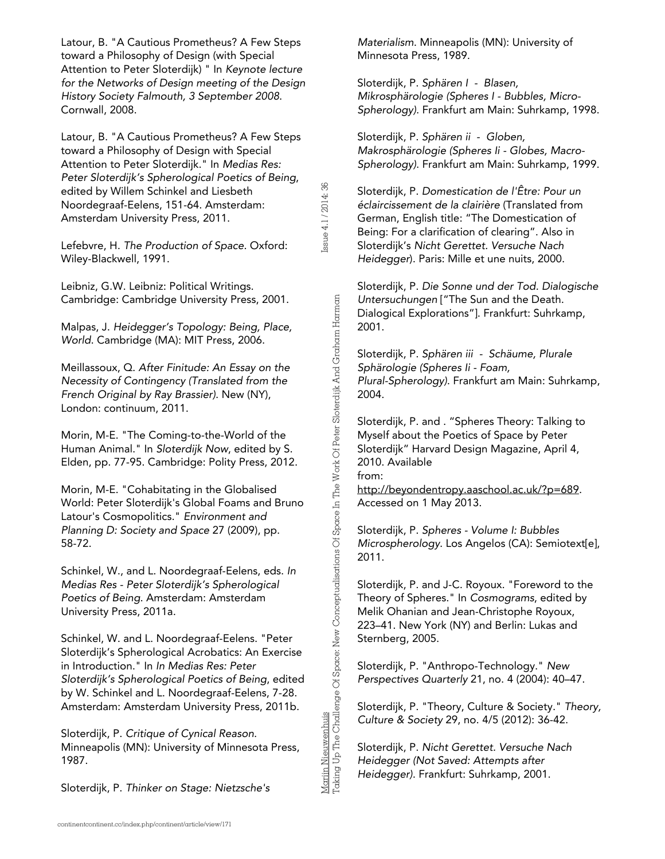Latour, B. "A Cautious Prometheus? A Few Steps toward a Philosophy of Design (with Special Attention to Peter Sloterdijk) " In *Keynote lecture for the Networks of Design meeting of the Design History Society Falmouth, 3 September 2008*. Cornwall, 2008.

Latour, B. "A Cautious Prometheus? A Few Steps toward a Philosophy of Design with Special Attention to Peter Sloterdijk." In *Medias Res: Peter Sloterdijk's Spherological Poetics of Being*, edited by Willem Schinkel and Liesbeth Noordegraaf-Eelens, 151-64. Amsterdam: Amsterdam University Press, 2011.

Lefebvre, H. *The Production of Space.* Oxford: Wiley-Blackwell, 1991.

Leibniz, G.W. Leibniz: Political Writings. Cambridge: Cambridge University Press, 2001.

Malpas, J. *Heidegger's Topology: Being, Place, World*. Cambridge (MA): MIT Press, 2006.

Meillassoux, Q. *After Finitude: An Essay on the Necessity of Contingency (Translated from the French Original by Ray Brassier)*. New (NY), London: continuum, 2011.

Morin, M-E. "The Coming-to-the-World of the Human Animal." In *Sloterdijk Now*, edited by S. Elden, pp. 77-95. Cambridge: Polity Press, 2012.

Morin, M-E. "Cohabitating in the Globalised World: Peter Sloterdijk's Global Foams and Bruno Latour's Cosmopolitics." *Environment and Planning D: Society and Space* 27 (2009), pp. 58-72.

Schinkel, W., and L. Noordegraaf-Eelens, eds. *In Medias Res - Peter Sloterdijk's Spherological Poetics of Being*. Amsterdam: Amsterdam University Press, 2011a.

Schinkel, W. and L. Noordegraaf-Eelens. "Peter Sloterdijk's Spherological Acrobatics: An Exercise in Introduction." In *In Medias Res: Peter Sloterdijk's Spherological Poetics of Being*, edited by W. Schinkel and L. Noordegraaf-Eelens, 7-28. Amsterdam: Amsterdam University Press, 2011b.

Sloterdijk, P. *Critique of Cynical Reason*. Minneapolis (MN): University of Minnesota Press, 1987.

Sloterdijk, P. *Thinker on Stage: Nietzsche's*

*Materialism*. Minneapolis (MN): University of Minnesota Press, 1989.

Sloterdijk, P. *Sphären I - Blasen, Mikrosphärologie (Spheres I - Bubbles, Micro-Spherology)*. Frankfurt am Main: Suhrkamp, 1998.

Sloterdijk, P. *Sphären ii - Globen, Makrosphärologie (Spheres Ii - Globes, Macro-Spherology)*. Frankfurt am Main: Suhrkamp, 1999.

Sloterdijk, P. *Domestication de l'Être: Pour un éclaircissement de la clairière* (Translated from German, English title: "The Domestication of Being: For a clarification of clearing". Also in Sloterdijk's *Nicht Gerettet. Versuche Nach Heidegger*). Paris: Mille et une nuits, 2000.

Issue 4.1 / 2014: 36

Issue 4.1/2014:36

Marijn Nieuwenhuis

Taking Up The Challenge Of Space: New Conceptualisations Of Space In The Work Of Peter Sloterdijk And Graham Harman

Mariin Nieuwenhuis<br>Taking Up The Challenge Of Space: New Conceptualisations Of Space In The Work Of Peter Sloterdijk And Graham Harman

Sloterdijk, P. *Die Sonne und der Tod. Dialogische Untersuchungen* ["The Sun and the Death. Dialogical Explorations"]. Frankfurt: Suhrkamp, 2001.

Sloterdijk, P. *Sphären iii - Schäume, Plurale Sphärologie (Spheres Ii - Foam, Plural-Spherology)*. Frankfurt am Main: Suhrkamp, 2004.

Sloterdijk, P. and . "Spheres Theory: Talking to Myself about the Poetics of Space by Peter Sloterdijk" Harvard Design Magazine, April 4, 2010. Available from:

[http://beyondentropy.aaschool.ac.uk/?p=689](http://www.google.com/url?q=http%3A%2F%2Fbeyondentropy.aaschool.ac.uk%2F%3Fp%3D689&sa=D&sntz=1&usg=AFQjCNEFcqdluyU3eXGhAR_3ge7_neWCBA). Accessed on 1 May 2013.

Sloterdijk, P. *Spheres - Volume I: Bubbles Microspherology*. Los Angelos (CA): Semiotext[e], 2011.

Sloterdijk, P. and J-C. Royoux. "Foreword to the Theory of Spheres." In *Cosmograms*, edited by Melik Ohanian and Jean-Christophe Royoux, 223–41. New York (NY) and Berlin: Lukas and Sternberg, 2005.

Sloterdijk, P. "Anthropo-Technology." *New Perspectives Quarterly* 21, no. 4 (2004): 40–47.

Sloterdijk, P. "Theory, Culture & Society." *Theory, Culture & Society* 29, no. 4/5 (2012): 36-42.

Sloterdijk, P. *Nicht Gerettet. Versuche Nach Heidegger (Not Saved: Attempts after Heidegger)*. Frankfurt: Suhrkamp, 2001.